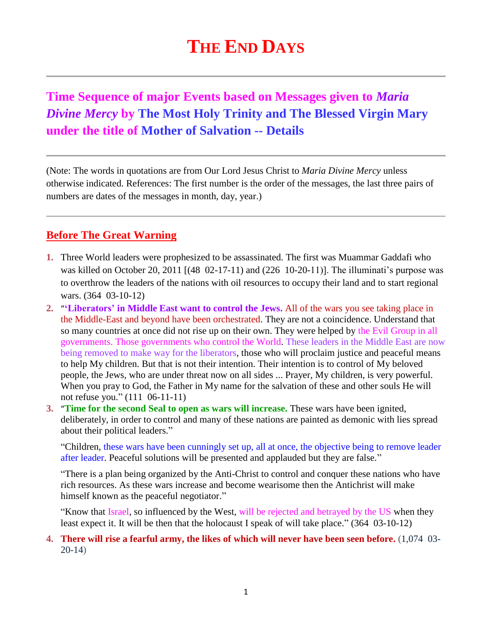# **THE END DAYS**

## **Time Sequence of major Events based on Messages given to** *Maria Divine Mercy* **by The Most Holy Trinity and The Blessed Virgin Mary under the title of Mother of Salvation -- Details**

(Note: The words in quotations are from Our Lord Jesus Christ to *Maria Divine Mercy* unless otherwise indicated. References: The first number is the order of the messages, the last three pairs of numbers are dates of the messages in month, day, year.)

### **Before The Great Warning**

- **1.** Three World leaders were prophesized to be assassinated. The first was Muammar Gaddafi who was killed on October 20, 2011 [(48 02-17-11) and (226 10-20-11)]. The illuminati's purpose was to overthrow the leaders of the nations with oil resources to occupy their land and to start regional wars. (364 03-10-12)
- **2.** "**'Liberators' in [Middle East want to control the Jews.](http://www.thewarningsecondcoming.com/liberators-in-middle-east-want-to-control-the-jews/)** All of the wars you see taking place in the Middle-East and beyond have been orchestrated. They are not a coincidence. Understand that so many countries at once did not rise up on their own. They were helped by the Evil Group in all governments. Those governments who control the World. These leaders in the Middle East are now being removed to make way for the liberators, those who will proclaim justice and peaceful means to help My children. But that is not their intention. Their intention is to control of My beloved people, the Jews, who are under threat now on all sides ... Prayer, My children, is very powerful. When you pray to God, the Father in My name for the salvation of these and other souls He will not refuse you." (111 06-11-11)
- **3.** "**[Time for the second Seal to open as wars will increase.](http://www.thewarningsecondcoming.com/time-for-the-second-seal-to-open-as-wars-will-increase/)** These wars have been ignited, deliberately, in order to control and many of these nations are painted as demonic with lies spread about their political leaders."

"Children, these wars have been cunningly set up, all at once, the objective being to remove leader after leader. Peaceful solutions will be presented and applauded but they are false."

"There is a plan being organized by the Anti-Christ to control and conquer these nations who have rich resources. As these wars increase and become wearisome then the Antichrist will make himself known as the peaceful negotiator."

"Know that Israel, so influenced by the West, will be rejected and betrayed by the US when they least expect it. It will be then that the holocaust I speak of will take place." (364 03-10-12)

#### **4. There will rise a fearful army, the likes of which will never have been seen before.** (1,074 03- 20-14)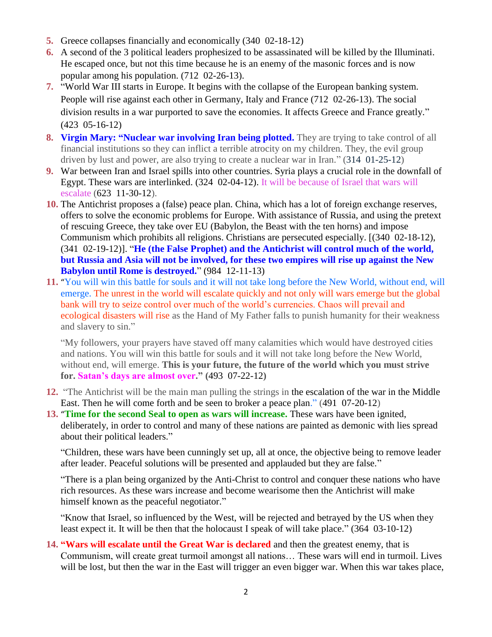- **5.** Greece collapses financially and economically (340 02-18-12)
- **6.** A second of the 3 political leaders prophesized to be assassinated will be killed by the Illuminati. He escaped once, but not this time because he is an enemy of the masonic forces and is now popular among his population. (712 02-26-13).
- **7.** "World War III starts in Europe. It begins with the collapse of the European banking system. People will rise against each other in Germany, Italy and France (712 02-26-13). The social division results in a war purported to save the economies. It affects Greece and France greatly." (423 05-16-12)
- **8. [Virgin Mary: "Nuclear war involving Iran being plotted.](http://www.thewarningsecondcoming.com/virgin-mary-nuclear-war-involving-iran-being-plotted/)** They are trying to take control of all financial institutions so they can inflict a terrible atrocity on my children. They, the evil group driven by lust and power, are also trying to create a nuclear war in Iran." (314 01-25-12)
- **9.** War between Iran and Israel spills into other countries. Syria plays a crucial role in the downfall of Egypt. These wars are interlinked. (324 02-04-12). It will be because of Israel that wars will escalate (623 11-30-12).
- **10.** The Antichrist proposes a (false) peace plan. China, which has a lot of foreign exchange reserves, offers to solve the economic problems for Europe. With assistance of Russia, and using the pretext of rescuing Greece, they take over EU (Babylon, the Beast with the ten horns) and impose Communism which prohibits all religions. Christians are persecuted especially. [(340 02-18-12), (341 02-19-12)]. "**He (the False Prophet) and the Antichrist will control much of the world, but Russia and Asia will not be involved, for these two empires will rise up against the New Babylon until Rome is destroyed.**" (984 12-11-13)
- **11.** "[You will win this battle for souls and it will not take long before the New World, without end, will](http://www.thewarningsecondcoming.com/you-will-win-this-battle-for-souls-and-it-will-not-take-long-before-the-new-world-without-end-will-emerge/)  [emerge.](http://www.thewarningsecondcoming.com/you-will-win-this-battle-for-souls-and-it-will-not-take-long-before-the-new-world-without-end-will-emerge/) The unrest in the world will escalate quickly and not only will wars emerge but the global bank will try to seize control over much of the world's currencies. Chaos will prevail and ecological disasters will rise as the Hand of My Father falls to punish humanity for their weakness and slavery to sin."

"My followers, your prayers have staved off many calamities which would have destroyed cities and nations. You will win this battle for souls and it will not take long before the New World, without end, will emerge. **This is your future, the future of the world which you must strive for. Satan's days are almost over." (**493 07-22-12**)**

- **12.** "The Antichrist will be the main man pulling the strings in the escalation of the war in the Middle East. Then he will come forth and be seen to broker a peace plan." (491 07-20-12)
- **13.** "**[Time for the second Seal to open as wars will increase.](http://www.thewarningsecondcoming.com/time-for-the-second-seal-to-open-as-wars-will-increase/)** These wars have been ignited, deliberately, in order to control and many of these nations are painted as demonic with lies spread about their political leaders."

"Children, these wars have been cunningly set up, all at once, the objective being to remove leader after leader. Peaceful solutions will be presented and applauded but they are false."

"There is a plan being organized by the Anti-Christ to control and conquer these nations who have rich resources. As these wars increase and become wearisome then the Antichrist will make himself known as the peaceful negotiator."

"Know that Israel, so influenced by the West, will be rejected and betrayed by the US when they least expect it. It will be then that the holocaust I speak of will take place." (364 03-10-12)

**14. "Wars will escalate until the Great War is declared** and then the greatest enemy, that is Communism, will create great turmoil amongst all nations… These wars will end in turmoil. Lives will be lost, but then the war in the East will trigger an even bigger war. When this war takes place,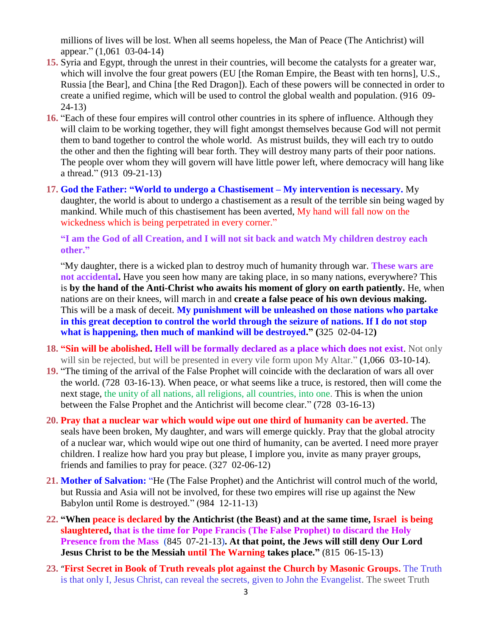millions of lives will be lost. When all seems hopeless, the Man of Peace (The Antichrist) will appear." (1,061 03-04-14)

- **15.** Syria and Egypt, through the unrest in their countries, will become the catalysts for a greater war, which will involve the four great powers (EU [the Roman Empire, the Beast with ten horns], U.S., Russia [the Bear], and China [the Red Dragon]). Each of these powers will be connected in order to create a unified regime, which will be used to control the global wealth and population. (916 09- 24-13)
- **16.** "Each of these four empires will control other countries in its sphere of influence. Although they will claim to be working together, they will fight amongst themselves because God will not permit them to band together to control the whole world. As mistrust builds, they will each try to outdo the other and then the fighting will bear forth. They will destroy many parts of their poor nations. The people over whom they will govern will have little power left, where democracy will hang like a thread." (913 09-21-13)
- **17. God the Father: "World to undergo a Chastisement – [My intervention is necessary.](http://www.thewarningsecondcoming.com/god-the-father-world-to-undergo-a-chastisement-my-intervention-is-necessary/)** My daughter, the world is about to undergo a chastisement as a result of the terrible sin being waged by mankind. While much of this chastisement has been averted, My hand will fall now on the wickedness which is being perpetrated in every corner."

#### **"I am the God of all Creation, and I will not sit back and watch My children destroy each other."**

"My daughter, there is a wicked plan to destroy much of humanity through war. **These wars are not accidental.** Have you seen how many are taking place, in so many nations, everywhere? This is **by the hand of the Anti-Christ who awaits his moment of glory on earth patiently.** He, when nations are on their knees, will march in and **create a false peace of his own devious making.**  This will be a mask of deceit. **My punishment will be unleashed on those nations who partake in this great deception to control the world through the seizure of nations. If I do not stop what is happening, then much of mankind will be destroyed." (**325 02-04-12**)**

- **18. "Sin will be abolished. Hell will be formally declared as a place which does not exist**. Not only will sin be rejected, but will be presented in every vile form upon My Altar." (1,066 03-10-14).
- **19.** "The timing of the arrival of the False Prophet will coincide with the declaration of wars all over the world. (728 03-16-13). When peace, or what seems like a truce, is restored, then will come the next stage, the unity of all nations, all religions, all countries, into one. This is when the union between the False Prophet and the Antichrist will become clear." (728 03-16-13)
- **20. [Pray that a nuclear war which would wipe out one third of humanity can be averted.](http://www.thewarningsecondcoming.com/pray-that-a-nuclear-war-which-would-wipe-out-one-third-of-humanity-can-be-averted/)** The seals have been broken, My daughter, and wars will emerge quickly. Pray that the global atrocity of a nuclear war, which would wipe out one third of humanity, can be averted. I need more prayer children. I realize how hard you pray but please, I implore you, invite as many prayer groups, friends and families to pray for peace. (327 02-06-12)
- **21. Mother of Salvation:** ["He \(The False Prophet\) and the Antichrist will control much of the world,](http://www.thewarningsecondcoming.com/mother-of-salvation-they-will-be-granted-honorary-doctorates-in-the-false-prophets-newly-renovated-church/)  [but Russia and Asia will not be involved, for these two empires will rise up against the New](http://www.thewarningsecondcoming.com/mother-of-salvation-they-will-be-granted-honorary-doctorates-in-the-false-prophets-newly-renovated-church/)  [Babylon until Rome is destroyed." \(984 12-11-13\)](http://www.thewarningsecondcoming.com/mother-of-salvation-they-will-be-granted-honorary-doctorates-in-the-false-prophets-newly-renovated-church/)
- **22. "When peace is declared by the Antichrist (the Beast) and at the same time, Israel is being slaughtered, that is the time for Pope Francis (The False Prophet) to discard the Holy Presence from the Mass** (845 07-21-13)**. At that point, the Jews will still deny Our Lord Jesus Christ to be the Messiah until The Warning takes place."** (815 06-15-13)
- **23.** "**[First Secret in Book of Truth reveals plot against the Church by Masonic Groups.](http://www.thewarningsecondcoming.com/first-secret-in-book-of-truth-reveals-plot-against-the-church-by-masonic-groups/)** The Truth is that only I, Jesus Christ, can reveal the secrets, given to John the Evangelist. The sweet Truth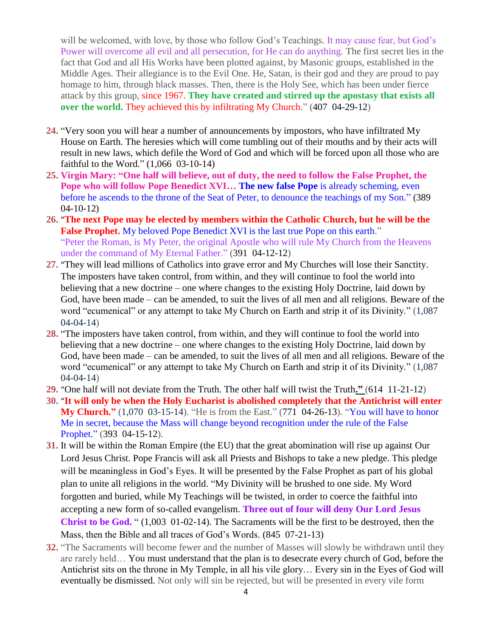will be welcomed, with love, by those who follow God's Teachings. It may cause fear, but God's Power will overcome all evil and all persecution, for He can do anything. The first secret lies in the fact that God and all His Works have been plotted against, by Masonic groups, established in the Middle Ages. Their allegiance is to the Evil One. He, Satan, is their god and they are proud to pay homage to him, through black masses. Then, there is the Holy See, which has been under fierce attack by this group, since 1967. **They have created and stirred up the apostasy that exists all over the world.** They achieved this by infiltrating My Church." (407 04-29-12)

- **24.** "Very soon you will hear a number of announcements by impostors, who have infiltrated My House on Earth. The heresies which will come tumbling out of their mouths and by their acts will result in new laws, which defile the Word of God and which will be forced upon all those who are faithful to the Word." (1,066 03-10-14)
- **25. Virgin Mary: "One half will believe, out of duty, the need to follow the False Prophet, the Pope who will follow Pope Benedict XVI... The new false Pope is already scheming, even** before he ascends to the throne of the Seat of Peter, to denounce the teachings of my Son." **(**389 04-10-12**)**
- **26.** "**[The next Pope may be elected by members within the Catholic Church, but he will be the](http://www.thewarningsecondcoming.com/the-next-pope-may-be-elected-by-members-within-the-catholic-church-but-he-will-be-the-false-prophet/)  [False Prophet.](http://www.thewarningsecondcoming.com/the-next-pope-may-be-elected-by-members-within-the-catholic-church-but-he-will-be-the-false-prophet/)** My beloved Pope Benedict XVI is the last true Pope on this earth." "Peter the Roman, is My Peter, the original Apostle who will rule My Church from the Heavens under the command of My Eternal Father." (391 04-12-12)
- **27.** "[They will lead millions of Catholics into grave error and My Churches will lose their Sanctity.](http://www.thewarningsecondcoming.com/they-will-lead-millions-of-catholics-into-grave-error-and-my-churches-will-lose-their-sanctity/) The imposters have taken control, from within, and they will continue to fool the world into believing that a new doctrine – one where changes to the existing Holy Doctrine, laid down by God, have been made – can be amended, to suit the lives of all men and all religions. Beware of the word "ecumenical" or any attempt to take My Church on Earth and strip it of its Divinity." (1,087 04-04-14)
- **28.** "The imposters have taken control, from within, and they will continue to fool the world into believing that a new doctrine – one where changes to the existing Holy Doctrine, laid down by God, have been made – can be amended, to suit the lives of all men and all religions. Beware of the word "ecumenical" or any attempt to take My Church on Earth and strip it of its Divinity." (1,087 04-04-14)
- **29.** "[One half will not deviate from the Truth. The other half will twist the Truth](http://www.thewarningsecondcoming.com/one-half-will-not-deviate-from-the-truth-the-other-halve-will-twist-the-truth/)**."** (614 11-21-12)
- **30.** "**[It will only be when the Holy Eucharist is abolished completely that the Antichrist will enter](http://www.thewarningsecondcoming.com/it-will-only-be-when-the-holy-eucharist-is-abolished-completely-that-the-antichrist-will-enter-my-church/)  [My Church.](http://www.thewarningsecondcoming.com/it-will-only-be-when-the-holy-eucharist-is-abolished-completely-that-the-antichrist-will-enter-my-church/)**" (1,070 03-15-14). "He is from the East." (771 04-26-13). "You will have to honor Me in secret, because the Mass will change beyond recognition under the rule of the False Prophet." (393 04-15-12).
- **31.** [It will be within the Roman Empire \(the EU\) that the great abomination will rise up against O](http://www.thewarningsecondcoming.com/it-will-be-within-the-roman-empire-that-the-great-abomination-will-rise-up-against-me/)ur Lord Jesus Christ. Pope Francis will ask all Priests and Bishops to take a new pledge. This pledge will be meaningless in God's Eyes. It will be presented by the False Prophet as part of his global plan to unite all religions in the world. "My Divinity will be brushed to one side. My Word forgotten and buried, while My Teachings will be twisted, in order to coerce the faithful into accepting a new form of so-called evangelism. **[Three out of four will deny Our Lord Jesus](http://www.thewarningsecondcoming.com/three-of-out-of-four-will-deny-me/)  [Christ to be God.](http://www.thewarningsecondcoming.com/three-of-out-of-four-will-deny-me/)** " (1,003 01-02-14). The Sacraments will be the first to be destroyed, then the Mass, then the Bible and all traces of God's Words. (845 07-21-13)
- **32.** "The Sacraments will become fewer and the number of Masses will slowly be withdrawn until they are rarely held… You must understand that the plan is to desecrate every church of God, before the Antichrist sits on the throne in My Temple, in all his vile glory… Every sin in the Eyes of God will eventually be dismissed. Not only will sin be rejected, but will be presented in every vile form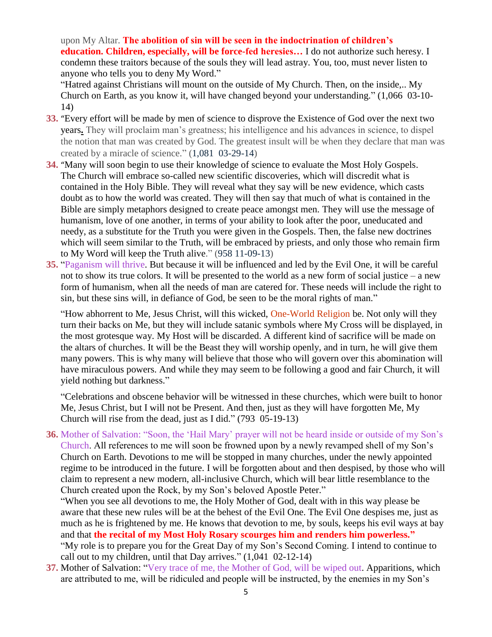upon My Altar. **The abolition of sin will be seen in the indoctrination of children's education. Children, especially, will be force-fed heresies…** I do not authorize such heresy. I condemn these traitors because of the souls they will lead astray. You, too, must never listen to anyone who tells you to deny My Word."

"Hatred against Christians will mount on the outside of My Church. Then, on the inside,.. My Church on Earth, as you know it, will have changed beyond your understanding." (1,066 03-10- 14)

- **33.** "[Every effort will be made by men of science to disprove the Existence of God over the next two](http://www.thewarningsecondcoming.com/every-effort-will-be-made-by-men-of-science-to-disprove-the-existence-of-god-over-the-next-two-years/)  [years](http://www.thewarningsecondcoming.com/every-effort-will-be-made-by-men-of-science-to-disprove-the-existence-of-god-over-the-next-two-years/)**.** They will proclaim man's greatness; his intelligence and his advances in science, to dispel the notion that man was created by God. The greatest insult will be when they declare that man was created by a miracle of science." (1,081 03-29-14)
- **34.** "[Many will soon begin to use their knowledge of science to evaluate the Most Holy Gospels.](http://www.thewarningsecondcoming.com/many-will-soon-begin-to-use-their-knowledge-of-science-to-evaluate-the-most-holy-gospels/) The Church will embrace so-called new scientific discoveries, which will discredit what is contained in the Holy Bible. They will reveal what they say will be new evidence, which casts doubt as to how the world was created. They will then say that much of what is contained in the Bible are simply metaphors designed to create peace amongst men. They will use the message of humanism, love of one another, in terms of your ability to look after the poor, uneducated and needy, as a substitute for the Truth you were given in the Gospels. Then, the false new doctrines which will seem similar to the Truth, will be embraced by priests, and only those who remain firm to My Word will keep the Truth alive." (958 11-09-13)
- **35.** "Paganism will thrive. But because it will be influenced and led by the Evil One, it will be careful not to show its true colors. It will be presented to the world as a new form of social justice – a new form of humanism, when all the needs of man are catered for. These needs will include the right to sin, but these sins will, in defiance of God, be seen to be the moral rights of man."

"How abhorrent to Me, Jesus Christ, will this wicked, One-World Religion be. Not only will they turn their backs on Me, but they will include satanic symbols where My Cross will be displayed, in the most grotesque way. My Host will be discarded. A different kind of sacrifice will be made on the altars of churches. It will be the Beast they will worship openly, and in turn, he will give them many powers. This is why many will believe that those who will govern over this abomination will have miraculous powers. And while they may seem to be following a good and fair Church, it will yield nothing but darkness."

"Celebrations and obscene behavior will be witnessed in these churches, which were built to honor Me, Jesus Christ, but I will not be Present. And then, just as they will have forgotten Me, My Church will rise from the dead, just as I did." (793 05-19-13)

**36.** Mother of Salvation: "Soon, the 'Hail Mary' [prayer will not be heard inside or outside of my Son's](http://www.thewarningsecondcoming.com/mother-of-salvation-soon-the-hail-mary-prayer-will-not-be-heard-inside-or-outside-of-my-sons-church/)  [Church.](http://www.thewarningsecondcoming.com/mother-of-salvation-soon-the-hail-mary-prayer-will-not-be-heard-inside-or-outside-of-my-sons-church/) All references to me will soon be frowned upon by a newly revamped shell of my Son's Church on Earth. Devotions to me will be stopped in many churches, under the newly appointed regime to be introduced in the future. I will be forgotten about and then despised, by those who will claim to represent a new modern, all-inclusive Church, which will bear little resemblance to the Church created upon the Rock, by my Son's beloved Apostle Peter."

"When you see all devotions to me, the Holy Mother of God, dealt with in this way please be aware that these new rules will be at the behest of the Evil One. The Evil One despises me, just as much as he is frightened by me. He knows that devotion to me, by souls, keeps his evil ways at bay and that **the recital of my Most Holy Rosary scourges him and renders him powerless."** "My role is to prepare you for the Great Day of my Son's Second Coming. I intend to continue to call out to my children, until that Day arrives." (1,041 02-12-14)

**37.** Mother of Salvation: "Very trace of me, the Mother of God, will be wiped out. Apparitions, which are attributed to me, will be ridiculed and people will be instructed, by the enemies in my Son's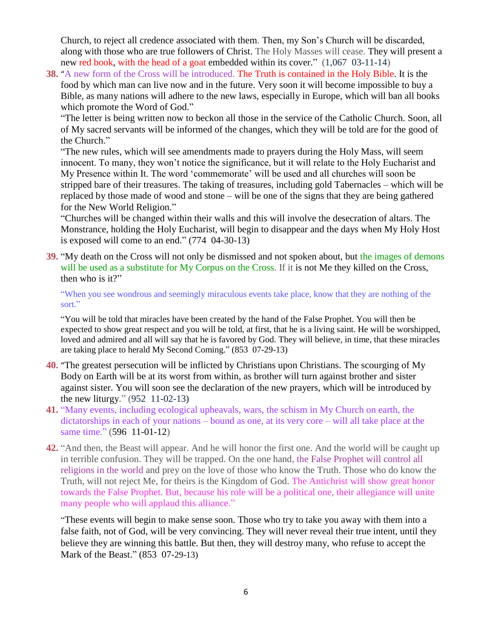Church, to reject all credence associated with them. Then, my Son's Church will be discarded, along with those who are true followers of Christ. The Holy Masses will cease. [They will present a](http://www.thewarningsecondcoming.com/mother-of-salvation-they-will-present-a-new-red-book-with-the-head-of-a-goat-embedded-within-its-cover/)  [new red book, with the head of a goat embedded within its cover.](http://www.thewarningsecondcoming.com/mother-of-salvation-they-will-present-a-new-red-book-with-the-head-of-a-goat-embedded-within-its-cover/)"  $(1,067,03-11-14)$ 

**38.** "[A new form of the Cross will be introduced.](http://www.thewarningsecondcoming.com/a-new-form-of-the-cross-will-be-introduced/) The Truth is contained in the Holy Bible. It is the food by which man can live now and in the future. Very soon it will become impossible to buy a Bible, as many nations will adhere to the new laws, especially in Europe, which will ban all books which promote the Word of God."

"The letter is being written now to beckon all those in the service of the Catholic Church. Soon, all of My sacred servants will be informed of the changes, which they will be told are for the good of the Church."

"The new rules, which will see amendments made to prayers during the Holy Mass, will seem innocent. To many, they won't notice the significance, but it will relate to the Holy Eucharist and My Presence within It. The word 'commemorate' will be used and all churches will soon be stripped bare of their treasures. The taking of treasures, including gold Tabernacles – which will be replaced by those made of wood and stone – will be one of the signs that they are being gathered for the New World Religion."

"Churches will be changed within their walls and this will involve the desecration of altars. The Monstrance, holding the Holy Eucharist, will begin to disappear and the days when My Holy Host is exposed will come to an end." (774 04-30-13)

**39.** "My death on the Cross will not only be dismissed and not spoken about, but the images of demons will be used as a substitute for My Corpus on the Cross. If it is not Me they killed on the Cross, then who is it?"

"When you see wondrous and seemingly miraculous events take place, know that they are nothing of the sort."

"You will be told that miracles have been created by the hand of the False Prophet. You will then be expected to show great respect and you will be told, at first, that he is a living saint. He will be worshipped, loved and admired and all will say that he is favored by God. They will believe, in time, that these miracles are taking place to herald My Second Coming." (853 07-29-13)

- **40.** "[The greatest persecution will be inflicted by Christians upon Christians.](http://www.thewarningsecondcoming.com/the-greatest-persecution-will-be-inflicted-by-christians-upon-christians/) The scourging of My Body on Earth will be at its worst from within, as brother will turn against brother and sister against sister. You will soon see the declaration of the new prayers, which will be introduced by the new liturgy." (952 11-02-13**)**
- **41.** "Many events, including ecological upheavals, wars, the schism in My Church on earth, the dictatorships in each of your nations – bound as one, at its very core – will all take place at the same time." (596 11-01-12)
- **42.** "And then, the Beast will appear. And he will honor the first one. And the world will be caught up in terrible confusion. They will be trapped. On the one hand, the False Prophet will control all religions in the world and prey on the love of those who know the Truth. Those who do know the Truth, will not reject Me, for theirs is the Kingdom of God. The Antichrist will show great honor towards the False Prophet. But, because his role will be a political one, their allegiance will unite many people who will applaud this alliance."

"These events will begin to make sense soon. Those who try to take you away with them into a false faith, not of God, will be very convincing. They will never reveal their true intent, until they believe they are winning this battle. But then, they will destroy many, who refuse to accept the Mark of the Beast." (853 07-29-13)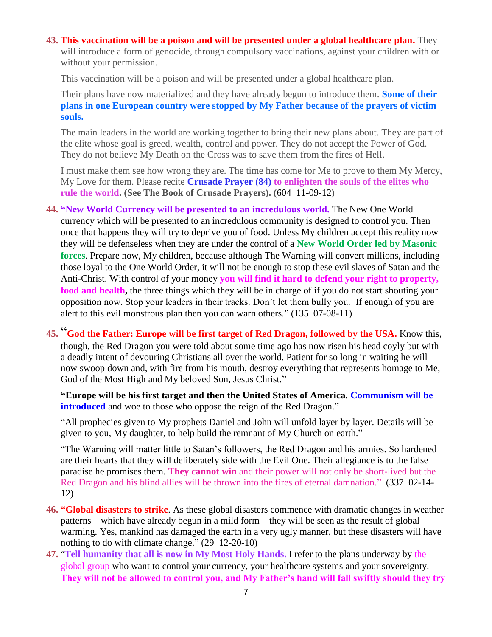#### **43. [This vaccination will be a poison and will be presented under a global healthcare plan.](http://www.thewarningsecondcoming.com/this-vaccination-will-be-a-poison-and-will-be-presented-under-a-global-healthcare-plan/)** They will introduce a form of genocide, through compulsory vaccinations, against your children with or without your permission.

This vaccination will be a poison and will be presented under a global healthcare plan.

Their plans have now materialized and they have already begun to introduce them. **Some of their plans in one European country were stopped by My Father because of the prayers of victim souls.** 

The main leaders in the world are working together to bring their new plans about. They are part of the elite whose goal is greed, wealth, control and power. They do not accept the Power of God. They do not believe My Death on the Cross was to save them from the fires of Hell.

I must make them see how wrong they are. The time has come for Me to prove to them My Mercy, My Love for them. Please recite **Crusade Prayer (84) to enlighten the souls of the elites who rule the world. (See The Book of Crusade Prayers). (**604 11-09-12**)**

**44. "New World Currency will be presented to an incredulous world.** The New One World currency which will be presented to an incredulous community is designed to control you. Then once that happens they will try to deprive you of food. Unless My children accept this reality now they will be defenseless when they are under the control of a **New World Order led by Masonic forces**. Prepare now, My children, because although The Warning will convert millions, including those loyal to the One World Order, it will not be enough to stop these evil slaves of Satan and the Anti-Christ. With control of your money **you will find it hard to defend your right to property, food and health,** the three things which they will be in charge of if you do not start shouting your opposition now. Stop your leaders in their tracks. Don't let them bully you. If enough of you are alert to this evil monstrous plan then you can warn others." (135 07-08-11)

**45.** "**[God the Father: Europe will be first target of Red Dragon, followed by the USA.](http://www.thewarningsecondcoming.com/god-the-father-europe-will-be-first-target-of-red-dragon-followed-by-the-usa/)** Know this, though, the Red Dragon you were told about some time ago has now risen his head coyly but with a deadly intent of devouring Christians all over the world. Patient for so long in waiting he will now swoop down and, with fire from his mouth, destroy everything that represents homage to Me, God of the Most High and My beloved Son, Jesus Christ."

**"Europe will be his first target and then the United States of America. Communism will be introduced** and woe to those who oppose the reign of the Red Dragon."

"All prophecies given to My prophets Daniel and John will unfold layer by layer. Details will be given to you, My daughter, to help build the remnant of My Church on earth."

"The Warning will matter little to Satan's followers, the Red Dragon and his armies. So hardened are their hearts that they will deliberately side with the Evil One. Their allegiance is to the false paradise he promises them. **They cannot win** and their power will not only be short-lived but the Red Dragon and his blind allies will be thrown into the fires of eternal damnation." (337 02-14- 12)

- **46. "Global disasters to strike**. As these global disasters commence with dramatic changes in weather patterns – which have already begun in a mild form – they will be seen as the result of global warming. Yes, mankind has damaged the earth in a very ugly manner, but these disasters will have nothing to do with climate change." (29 12-20-10)
- **47.** "**[Tell humanity that all is now in My Most Holy Hands.](http://www.thewarningsecondcoming.com/tell-humanity-that-all-is-now-in-my-most-holy-hands/)** I refer to the plans underway by the global group who want to control your currency, your healthcare systems and your sovereignty. **They will not be allowed to control you, and My Father's hand will fall swiftly should they try**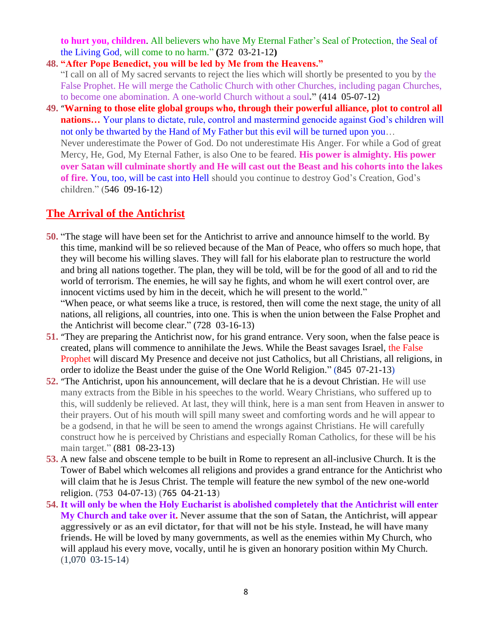**to hurt you, children**. All believers who have My Eternal Father's Seal of Protection, the Seal of the Living God, will come to no harm." **(**372 03-21-12**)**

- **48. "After Pope Benedict, you will be led by Me from the Heavens."** "I call on all of My sacred servants to reject the lies which will shortly be presented to you by the False Prophet. He will merge the Catholic Church with other Churches, including pagan Churches, to become one abomination. A one-world Church without a soul**." (**414 05-07-12**)**
- **49.** "**[Warning to those elite global groups who, through their powerful alliance, plot to control all](http://www.thewarningsecondcoming.com/warning-to-those-elite-global-groups-who-through-their-powerful-alliance-plot-to-control-all-nations/)  nations...** Your plans to dictate, rule, control and mastermind genocide against God's children will not only be thwarted by the Hand of My Father but this evil will be turned upon you… Never underestimate the Power of God. Do not underestimate His Anger. For while a God of great Mercy, He, God, My Eternal Father, is also One to be feared. **His power is almighty. His power over Satan will culminate shortly and He will cast out the Beast and his cohorts into the lakes of fire.** You, too, will be cast into Hell should you continue to destroy God's Creation, God's children." (546 09-16-12)

### **The Arrival of the Antichrist**

- **50.** "The stage will have been set for the Antichrist to arrive and announce himself to the world. By this time, mankind will be so relieved because of the Man of Peace, who offers so much hope, that they will become his willing slaves. They will fall for his elaborate plan to restructure the world and bring all nations together. The plan, they will be told, will be for the good of all and to rid the world of terrorism. The enemies, he will say he fights, and whom he will exert control over, are innocent victims used by him in the deceit, which he will present to the world." "When peace, or what seems like a truce, is restored, then will come the next stage, the unity of all nations, all religions, all countries, into one. This is when the union between the False Prophet and the Antichrist will become clear." (728 03-16-13)
- **51.** "[They are preparing the Antichrist now, for his grand entrance.](http://www.thewarningsecondcoming.com/they-are-preparing-the-antichrist-now-for-his-grand-entrance/) Very soon, when the false peace is created, plans will commence to annihilate the Jews. While the Beast savages Israel, the False Prophet will discard My Presence and deceive not just Catholics, but all Christians, all religions, in order to idolize the Beast under the guise of the One World Religion." (845 07-21-13)
- **52.** "[The Antichrist, upon his announcement, will declare that he is a devout Christian.](http://www.thewarningsecondcoming.com/mother-of-salvation-the-antichrist-upon-his-announcement-will-declare-that-he-is-a-devout-christian/) He will use many extracts from the Bible in his speeches to the world. Weary Christians, who suffered up to this, will suddenly be relieved. At last, they will think, here is a man sent from Heaven in answer to their prayers. Out of his mouth will spill many sweet and comforting words and he will appear to be a godsend, in that he will be seen to amend the wrongs against Christians. He will carefully construct how he is perceived by Christians and especially Roman Catholics, for these will be his main target." (881 08-23-13)
- **53.** A new false and obscene temple to be built in Rome to represent an all-inclusive Church. It is the Tower of Babel which welcomes all religions and provides a grand entrance for the Antichrist who will claim that he is Jesus Christ. The temple will feature the new symbol of the new one-world religion. (753 04-07-13) (765 04-21-13)
- **54. [It will only be when the Holy Eucharist is abolished completely that the Antichrist will enter](http://www.thewarningsecondcoming.com/it-will-only-be-when-the-holy-eucharist-is-abolished-completely-that-the-antichrist-will-enter-my-church/)  [My Church](http://www.thewarningsecondcoming.com/it-will-only-be-when-the-holy-eucharist-is-abolished-completely-that-the-antichrist-will-enter-my-church/) and take over it. Never assume that the son of Satan, the Antichrist, will appear aggressively or as an evil dictator, for that will not be his style. Instead, he will have many friends.** He will be loved by many governments, as well as the enemies within My Church, who will applaud his every move, vocally, until he is given an honorary position within My Church. (1,070 03-15-14)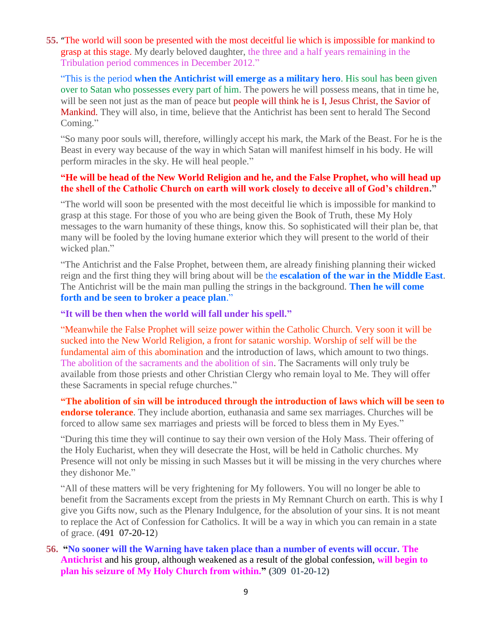**55.** "[The world will soon be presented with the most deceitful lie which is impossible for mankind to](http://www.thewarningsecondcoming.com/the-world-will-soon-be-presented-with-the-most-deceitful-lie-which-is-impossible-for-mankind-to-grasp-at-this-stage/)  [grasp at this stage.](http://www.thewarningsecondcoming.com/the-world-will-soon-be-presented-with-the-most-deceitful-lie-which-is-impossible-for-mankind-to-grasp-at-this-stage/) My dearly beloved daughter, the three and a half years remaining in the Tribulation period commences in December 2012."

"This is the period **when the Antichrist will emerge as a military hero**. His soul has been given over to Satan who possesses every part of him. The powers he will possess means, that in time he, will be seen not just as the man of peace but **people will think he is I, Jesus Christ, the Savior of** Mankind. They will also, in time, believe that the Antichrist has been sent to herald The Second Coming."

"So many poor souls will, therefore, willingly accept his mark, the Mark of the Beast. For he is the Beast in every way because of the way in which Satan will manifest himself in his body. He will perform miracles in the sky. He will heal people."

#### **"He will be head of the New World Religion and he, and the False Prophet, who will head up the shell of the Catholic Church on earth will work closely to deceive all of God's children."**

"The world will soon be presented with the most deceitful lie which is impossible for mankind to grasp at this stage. For those of you who are being given the Book of Truth, these My Holy messages to the warn humanity of these things, know this. So sophisticated will their plan be, that many will be fooled by the loving humane exterior which they will present to the world of their wicked plan."

"The Antichrist and the False Prophet, between them, are already finishing planning their wicked reign and the first thing they will bring about will be the **escalation of the war in the Middle East**. The Antichrist will be the main man pulling the strings in the background. **Then he will come forth and be seen to broker a peace plan**."

#### **"It will be then when the world will fall under his spell."**

"Meanwhile the False Prophet will seize power within the Catholic Church. Very soon it will be sucked into the New World Religion, a front for satanic worship. Worship of self will be the fundamental aim of this abomination and the introduction of laws, which amount to two things. The abolition of the sacraments and the abolition of sin. The Sacraments will only truly be available from those priests and other Christian Clergy who remain loyal to Me. They will offer these Sacraments in special refuge churches."

**"The abolition of sin will be introduced through the introduction of laws which will be seen to endorse tolerance**. They include abortion, euthanasia and same sex marriages. Churches will be forced to allow same sex marriages and priests will be forced to bless them in My Eyes."

"During this time they will continue to say their own version of the Holy Mass. Their offering of the Holy Eucharist, when they will desecrate the Host, will be held in Catholic churches. My Presence will not only be missing in such Masses but it will be missing in the very churches where they dishonor Me."

"All of these matters will be very frightening for My followers. You will no longer be able to benefit from the Sacraments except from the priests in My Remnant Church on earth. This is why I give you Gifts now, such as the Plenary Indulgence, for the absolution of your sins. It is not meant to replace the Act of Confession for Catholics. It will be a way in which you can remain in a state of grace. (491 07-20-12)

**56. "No sooner will the Warning have taken place than a number of events will occur. The Antichrist** and his group, although weakened as a result of the global confession, **will begin to plan his seizure of My Holy Church from within." (**309 01-20-12**)**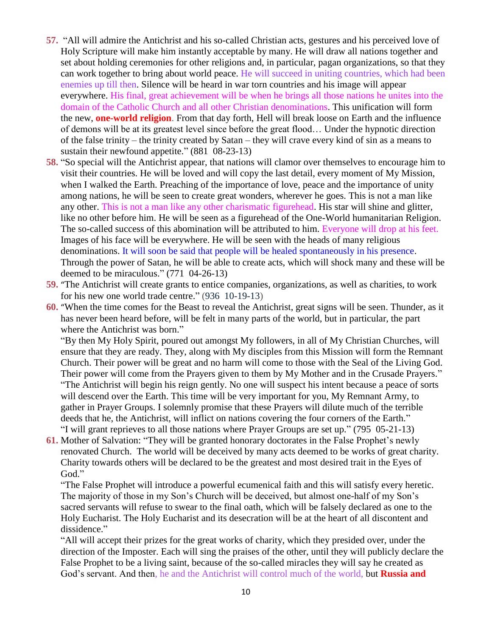- **57.** "All will admire the Antichrist and his so-called Christian acts, gestures and his perceived love of Holy Scripture will make him instantly acceptable by many. He will draw all nations together and set about holding ceremonies for other religions and, in particular, pagan organizations, so that they can work together to bring about world peace. He will succeed in uniting countries, which had been enemies up till then. Silence will be heard in war torn countries and his image will appear everywhere. His final, great achievement will be when he brings all those nations he unites into the domain of the Catholic Church and all other Christian denominations. This unification will form the new, **one-world religion**. From that day forth, Hell will break loose on Earth and the influence of demons will be at its greatest level since before the great flood… Under the hypnotic direction of the false trinity – the trinity created by Satan – they will crave every kind of sin as a means to sustain their newfound appetite." (881 08-23-13)
- **58.** "So special will the Antichrist appear, that nations will clamor over themselves to encourage him to visit their countries. He will be loved and will copy the last detail, every moment of My Mission, when I walked the Earth. Preaching of the importance of love, peace and the importance of unity among nations, he will be seen to create great wonders, wherever he goes. This is not a man like any other. This is not a man like any other charismatic figurehead. His star will shine and glitter, like no other before him. He will be seen as a figurehead of the One-World humanitarian Religion. The so-called success of this abomination will be attributed to him. Everyone will drop at his feet. Images of his face will be everywhere. He will be seen with the heads of many religious denominations. It will soon be said that people will be healed spontaneously in his presence. Through the power of Satan, he will be able to create acts, which will shock many and these will be deemed to be miraculous." (771 04-26-13)
- **59.** "[The Antichrist will create grants to entice companies, organizations, as well as charities, to work](http://www.thewarningsecondcoming.com/the-antichrist-will-create-grants-to-entice-companies-organisations-as-well-as-charities-to-work-for-his-new-one-world-trade-centre/)  [for his new one world trade centre.](http://www.thewarningsecondcoming.com/the-antichrist-will-create-grants-to-entice-companies-organisations-as-well-as-charities-to-work-for-his-new-one-world-trade-centre/)" (936 10-19-13)
- **60.** "[When the time comes for the Beast to reveal the Antichrist, great signs will be seen.](http://www.thewarningsecondcoming.com/when-the-time-comes-for-the-beast-to-reveal-the-antichrist-great-signs-will-be-seen/) Thunder, as it has never been heard before, will be felt in many parts of the world, but in particular, the part where the Antichrist was born."

"By then My Holy Spirit, poured out amongst My followers, in all of My Christian Churches, will ensure that they are ready. They, along with My disciples from this Mission will form the Remnant Church. Their power will be great and no harm will come to those with the Seal of the Living God. Their power will come from the Prayers given to them by My Mother and in the Crusade Prayers." "The Antichrist will begin his reign gently. No one will suspect his intent because a peace of sorts will descend over the Earth. This time will be very important for you, My Remnant Army, to gather in Prayer Groups. I solemnly promise that these Prayers will dilute much of the terrible deeds that he, the Antichrist, will inflict on nations covering the four corners of the Earth." "I will grant reprieves to all those nations where Prayer Groups are set up." (795 05-21-13)

**61.** [Mother of Salvation: "They will be granted honorary doctorates in the False Prophet's newly](http://www.thewarningsecondcoming.com/mother-of-salvation-they-will-be-granted-honorary-doctorates-in-the-false-prophets-newly-renovated-church/)  [renovated Church.](http://www.thewarningsecondcoming.com/mother-of-salvation-they-will-be-granted-honorary-doctorates-in-the-false-prophets-newly-renovated-church/) The world will be deceived by many acts deemed to be works of great charity. Charity towards others will be declared to be the greatest and most desired trait in the Eyes of God."

"The False Prophet will introduce a powerful ecumenical faith and this will satisfy every heretic. The majority of those in my Son's Church will be deceived, but almost one-half of my Son's sacred servants will refuse to swear to the final oath, which will be falsely declared as one to the Holy Eucharist. The Holy Eucharist and its desecration will be at the heart of all discontent and dissidence."

"All will accept their prizes for the great works of charity, which they presided over, under the direction of the Imposter. Each will sing the praises of the other, until they will publicly declare the False Prophet to be a living saint, because of the so-called miracles they will say he created as God's servant. And then, he and the Antichrist will control much of the world, but **Russia and**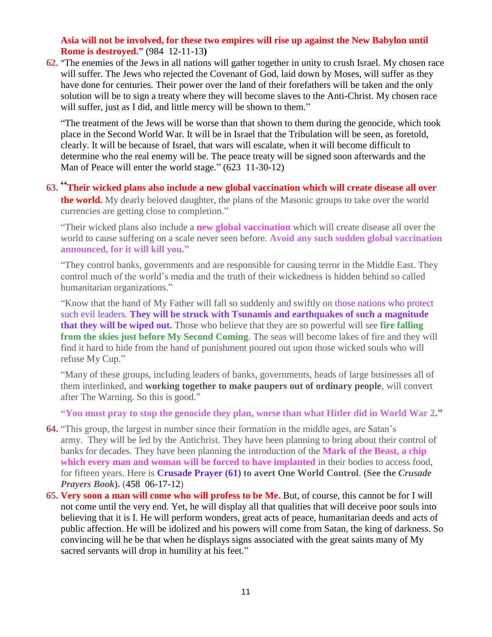#### **Asia will not be involved, for these two empires will rise up against the New Babylon until Rome is destroyed."** (984 12-11-13**)**

**62.** "[The enemies of the Jews in all nations will gather together in unity to crush Israel.](http://www.thewarningsecondcoming.com/the-enemies-of-the-jews-in-all-nations-will-gather-together-in-unity-to-crush-israel-2/) My chosen race will suffer. The Jews who rejected the Covenant of God, laid down by Moses, will suffer as they have done for centuries. Their power over the land of their forefathers will be taken and the only solution will be to sign a treaty where they will become slaves to the Anti-Christ. My chosen race will suffer, just as I did, and little mercy will be shown to them."

"The treatment of the Jews will be worse than that shown to them during the genocide, which took place in the Second World War. It will be in Israel that the Tribulation will be seen, as foretold, clearly. It will be because of Israel, that wars will escalate, when it will become difficult to determine who the real enemy will be. The peace treaty will be signed soon afterwards and the Man of Peace will enter the world stage." (623 11-30-12)

**63.** "**[Their wicked plans also include a new global vaccination which will create disease all over](http://www.thewarningsecondcoming.com/their-wicked-plans-also-include-a-new-global-vaccination-which-will-create-disease-all-over-the-world/)  [the world.](http://www.thewarningsecondcoming.com/their-wicked-plans-also-include-a-new-global-vaccination-which-will-create-disease-all-over-the-world/)** My dearly beloved daughter, the plans of the Masonic groups to take over the world currencies are getting close to completion."

"Their wicked plans also include a **new global vaccination** which will create disease all over the world to cause suffering on a scale never seen before. **Avoid any such sudden global vaccination announced, for it will kill you."**

"They control banks, governments and are responsible for causing terror in the Middle East. They control much of the world's media and the truth of their wickedness is hidden behind so called humanitarian organizations."

"Know that the hand of My Father will fall so suddenly and swiftly on those nations who protect such evil leaders. **They will be struck with Tsunamis and earthquakes of such a magnitude that they will be wiped out.** Those who believe that they are so powerful will see **fire falling from the skies just before My Second Coming**. The seas will become lakes of fire and they will find it hard to hide from the hand of punishment poured out upon those wicked souls who will refuse My Cup."

"Many of these groups, including leaders of banks, governments, heads of large businesses all of them interlinked, and **working together to make paupers out of ordinary people**, will convert after The Warning. So this is good."

**"You must pray to stop the genocide they plan, worse than what Hitler did in World War 2."**

- **64.** "This group, the largest in number since their formation in the middle ages, are Satan's army. They will be led by the Antichrist. They have been planning to bring about their control of banks for decades. They have been planning the introduction of the **Mark of the Beast, a chip which every man and woman will be forced to have implanted** in their bodies to access food, for fifteen years. Here is **Crusade Prayer (61) to avert One World Control**. **(See the** *Crusade Prayers Book***).** (458 06-17-12)
- **65. [Very soon a man will come who will profess to be Me.](http://www.thewarningsecondcoming.com/very-soon-a-man-will-come-who-will-profess-to-be-me/)** But, of course, this cannot be for I will not come until the very end. Yet, he will display all that qualities that will deceive poor souls into believing that it is I. He will perform wonders, great acts of peace, humanitarian deeds and acts of public affection. He will be idolized and his powers will come from Satan, the king of darkness. So convincing will he be that when he displays signs associated with the great saints many of My sacred servants will drop in humility at his feet."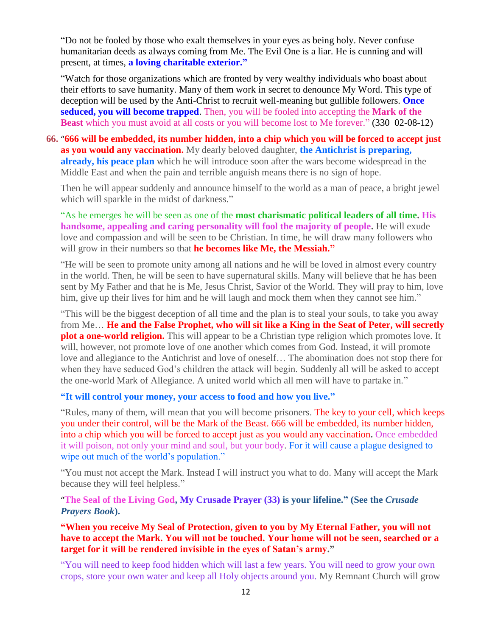"Do not be fooled by those who exalt themselves in your eyes as being holy. Never confuse humanitarian deeds as always coming from Me. The Evil One is a liar. He is cunning and will present, at times, **a loving charitable exterior."**

"Watch for those organizations which are fronted by very wealthy individuals who boast about their efforts to save humanity. Many of them work in secret to denounce My Word. This type of deception will be used by the Anti-Christ to recruit well-meaning but gullible followers. **Once seduced, you will become trapped**. Then, you will be fooled into accepting the **Mark of the Beast** which you must avoid at all costs or you will become lost to Me forever." (330 02-08-12)

**66.** "**[666 will be embedded, its number hidden, into a chip which you will be forced to accept just](http://www.thewarningsecondcoming.com/666-will-be-embedded-its-number-hidden-into-a-chip-which-you-will-be-forced-to-accept-just-as-you-would-any-vaccination/)  [as you would any vaccination.](http://www.thewarningsecondcoming.com/666-will-be-embedded-its-number-hidden-into-a-chip-which-you-will-be-forced-to-accept-just-as-you-would-any-vaccination/)** My dearly beloved daughter, **the Antichrist is preparing, already, his peace plan** which he will introduce soon after the wars become widespread in the Middle East and when the pain and terrible anguish means there is no sign of hope.

Then he will appear suddenly and announce himself to the world as a man of peace, a bright jewel which will sparkle in the midst of darkness."

"As he emerges he will be seen as one of the **most charismatic political leaders of all time. His handsome, appealing and caring personality will fool the majority of people.** He will exude love and compassion and will be seen to be Christian. In time, he will draw many followers who will grow in their numbers so that **he becomes like Me, the Messiah."**

"He will be seen to promote unity among all nations and he will be loved in almost every country in the world. Then, he will be seen to have supernatural skills. Many will believe that he has been sent by My Father and that he is Me, Jesus Christ, Savior of the World. They will pray to him, love him, give up their lives for him and he will laugh and mock them when they cannot see him."

"This will be the biggest deception of all time and the plan is to steal your souls, to take you away from Me… **He and the False Prophet, who will sit like a King in the Seat of Peter, will secretly plot a one-world religion.** This will appear to be a Christian type religion which promotes love. It will, however, not promote love of one another which comes from God. Instead, it will promote love and allegiance to the Antichrist and love of oneself… The abomination does not stop there for when they have seduced God's children the attack will begin. Suddenly all will be asked to accept the one-world Mark of Allegiance. A united world which all men will have to partake in."

**"It will control your money, your access to food and how you live."**

"Rules, many of them, will mean that you will become prisoners. The key to your cell, which keeps you under their control, will be the Mark of the Beast. 666 will be embedded, its number hidden, into a chip which you will be forced to accept just as you would any vaccination**.** Once embedded it will poison, not only your mind and soul, but your body. For it will cause a plague designed to wipe out much of the world's population."

"You must not accept the Mark. Instead I will instruct you what to do. Many will accept the Mark because they will feel helpless."

"**[The Seal of the Living God, My Crusade Prayer \(33\)](http://www.thewarningsecondcoming.com/crusade-prayer-33-rise-now-and-accept-the-seal-of-the-living-god/) is your lifeline." (See the** *Crusade Prayers Book***).**

**"When you receive My Seal of Protection, given to you by My Eternal Father, you will not have to accept the Mark. You will not be touched. Your home will not be seen, searched or a target for it will be rendered invisible in the eyes of Satan's army."**

"You will need to keep food hidden which will last a few years. You will need to grow your own crops, store your own water and keep all Holy objects around you. My Remnant Church will grow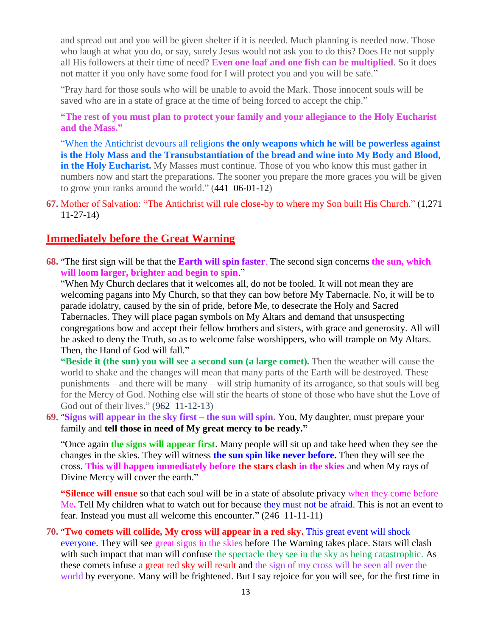and spread out and you will be given shelter if it is needed. Much planning is needed now. Those who laugh at what you do, or say, surely Jesus would not ask you to do this? Does He not supply all His followers at their time of need? **Even one loaf and one fish can be multiplied**. So it does not matter if you only have some food for I will protect you and you will be safe."

"Pray hard for those souls who will be unable to avoid the Mark. Those innocent souls will be saved who are in a state of grace at the time of being forced to accept the chip."

**"The rest of you must plan to protect your family and your allegiance to the Holy Eucharist and the Mass."**

"When the Antichrist devours all religions **the only weapons which he will be powerless against is the Holy Mass and the Transubstantiation of the bread and wine into My Body and Blood, in the Holy Eucharist.** My Masses must continue. Those of you who know this must gather in numbers now and start the preparations. The sooner you prepare the more graces you will be given to grow your ranks around the world." (441 06-01-12)

**67.** Mother of Salvation: "The Antichrist will rule close-by to where my Son built His Church." (1,271 11-27-14)

### **Immediately before the Great Warning**

**68.** "[The first sign will be that the](http://www.thewarningsecondcoming.com/the-first-sign-will-be-that-the-earth-will-spin-faster-the-second-sign-concerns-the-sun-which-will-loom-larger-brighter-and-begin-to-spin/) **Earth will spin faster**. The second sign concerns **the sun, which [will loom larger, brighter and begin to spin](http://www.thewarningsecondcoming.com/the-first-sign-will-be-that-the-earth-will-spin-faster-the-second-sign-concerns-the-sun-which-will-loom-larger-brighter-and-begin-to-spin/)**."

"When My Church declares that it welcomes all, do not be fooled. It will not mean they are welcoming pagans into My Church, so that they can bow before My Tabernacle. No, it will be to parade idolatry, caused by the sin of pride, before Me, to desecrate the Holy and Sacred Tabernacles. They will place pagan symbols on My Altars and demand that unsuspecting congregations bow and accept their fellow brothers and sisters, with grace and generosity. All will be asked to deny the Truth, so as to welcome false worshippers, who will trample on My Altars. Then, the Hand of God will fall."

**"Beside it (the sun) you will see a second sun (a large comet).** Then the weather will cause the world to shake and the changes will mean that many parts of the Earth will be destroyed. These punishments – and there will be many – will strip humanity of its arrogance, so that souls will beg for the Mercy of God. Nothing else will stir the hearts of stone of those who have shut the Love of God out of their lives." (962 11-12-13)

**69.** "**[Signs will appear in the sky first –](http://www.thewarningsecondcoming.com/signs-will-appear-in-the-sky-first-the-sun-will-spin/) the sun will spin.** You, My daughter, must prepare your family and **tell those in need of My great mercy to be ready."**

"Once again **the signs will appear first**. Many people will sit up and take heed when they see the changes in the skies. They will witness **the sun spin like never before.** Then they will see the cross. **This will happen immediately before the stars clash in the skies** and when My rays of Divine Mercy will cover the earth."

**"Silence will ensue** so that each soul will be in a state of absolute privacy when they come before Me**.** Tell My children what to watch out for because they must not be afraid. This is not an event to fear. Instead you must all welcome this encounter." (246 11-11-11)

**70.** "**[Two comets will collide, My cross will appear in a red sky.](http://www.thewarningsecondcoming.com/two-comets-will-collide-my-cross-will-appear-in-a-red-sky/)** This great event will shock everyone. They will see great signs in the skies before The Warning takes place. Stars will clash with such impact that man will confuse the spectacle they see in the sky as being catastrophic. As these comets infuse a great red sky will result and the sign of my cross will be seen all over the world by everyone. Many will be frightened. But I say rejoice for you will see, for the first time in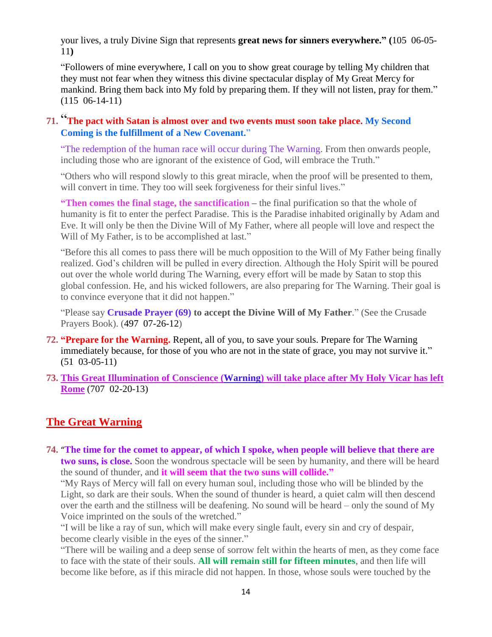your lives, a truly Divine Sign that represents **great news for sinners everywhere." (**105 06-05- 11**)**

"Followers of mine everywhere, I call on you to show great courage by telling My children that they must not fear when they witness this divine spectacular display of My Great Mercy for mankind. Bring them back into My fold by preparing them. If they will not listen, pray for them." (115 06-14-11)

### **71.** "**[The pact with Satan is almost over and two events must soon take place.](http://www.thewarningsecondcoming.com/the-pact-with-satan-is-almost-over-and-two-events-must-soon-take-place-2/) My Second Coming is the fulfillment of a New Covenant.**"

"The redemption of the human race will occur during The Warning. From then onwards people, including those who are ignorant of the existence of God, will embrace the Truth."

"Others who will respond slowly to this great miracle, when the proof will be presented to them, will convert in time. They too will seek forgiveness for their sinful lives."

**"Then comes the final stage, the sanctification –** the final purification so that the whole of humanity is fit to enter the perfect Paradise. This is the Paradise inhabited originally by Adam and Eve. It will only be then the Divine Will of My Father, where all people will love and respect the Will of My Father, is to be accomplished at last."

"Before this all comes to pass there will be much opposition to the Will of My Father being finally realized. God's children will be pulled in every direction. Although the Holy Spirit will be poured out over the whole world during The Warning, every effort will be made by Satan to stop this global confession. He, and his wicked followers, are also preparing for The Warning. Their goal is to convince everyone that it did not happen."

"Please say **Crusade Prayer (69) to accept the Divine Will of My Father**." (See the Crusade Prayers Book). (497 07-26-12)

- **72. "Prepare for the Warning.** Repent, all of you, to save your souls. Prepare for The Warning immediately because, for those of you who are not in the state of grace, you may not survive it." (51 03-05-11)
- **73. [This Great Illumination of Conscience \(Warning\) will take place after My Holy Vicar has left](http://www.thewarningsecondcoming.com/this-great-illumination-of-conscience-will-take-place-after-my-holy-vicar-has-left-rome/) [Rome](http://www.thewarningsecondcoming.com/this-great-illumination-of-conscience-will-take-place-after-my-holy-vicar-has-left-rome/)** (707 02-20-13)

### **The Great Warning**

**74.** "**[The time for the comet to appear, of which I spoke, when people will believe that there are](http://www.thewarningsecondcoming.com/the-time-for-the-comet-to-appear-of-which-i-spoke-when-people-will-believe-that-there-are-two-suns-is-close/)  [two suns, is close.](http://www.thewarningsecondcoming.com/the-time-for-the-comet-to-appear-of-which-i-spoke-when-people-will-believe-that-there-are-two-suns-is-close/)** Soon the wondrous spectacle will be seen by humanity, and there will be heard the sound of thunder, and **it will seem that the two suns will collide."**

"My Rays of Mercy will fall on every human soul, including those who will be blinded by the Light, so dark are their souls. When the sound of thunder is heard, a quiet calm will then descend over the earth and the stillness will be deafening. No sound will be heard – only the sound of My Voice imprinted on the souls of the wretched."

"I will be like a ray of sun, which will make every single fault, every sin and cry of despair, become clearly visible in the eyes of the sinner."

"There will be wailing and a deep sense of sorrow felt within the hearts of men, as they come face to face with the state of their souls. **All will remain still for fifteen minutes**, and then life will become like before, as if this miracle did not happen. In those, whose souls were touched by the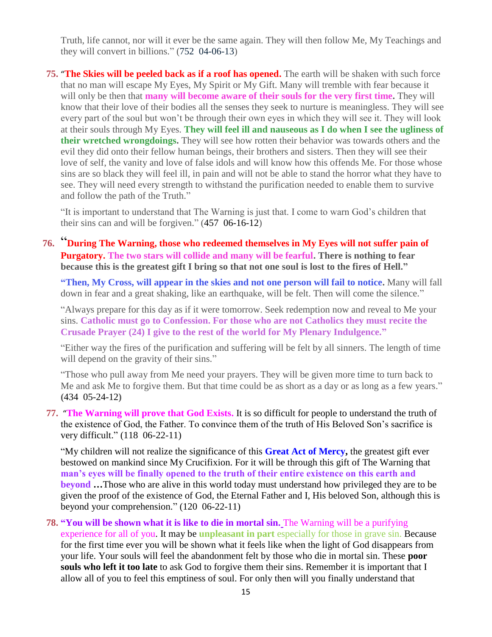Truth, life cannot, nor will it ever be the same again. They will then follow Me, My Teachings and they will convert in billions." (752 04-06-13)

**75.** "**[The Skies will be peeled back as if a roof has opened.](http://www.thewarningsecondcoming.com/the-skies-will-be-peeled-back-as-if-a-roof-has-opened/)** The earth will be shaken with such force that no man will escape My Eyes, My Spirit or My Gift. Many will tremble with fear because it will only be then that **many will become aware of their souls for the very first time.** They will know that their love of their bodies all the senses they seek to nurture is meaningless. They will see every part of the soul but won't be through their own eyes in which they will see it. They will look at their souls through My Eyes. **They will feel ill and nauseous as I do when I see the ugliness of their wretched wrongdoings.** They will see how rotten their behavior was towards others and the evil they did onto their fellow human beings, their brothers and sisters. Then they will see their love of self, the vanity and love of false idols and will know how this offends Me. For those whose sins are so black they will feel ill, in pain and will not be able to stand the horror what they have to see. They will need every strength to withstand the purification needed to enable them to survive and follow the path of the Truth."

"It is important to understand that The Warning is just that. I come to warn God's children that their sins can and will be forgiven." (457 06-16-12)

**76.** "**[During The Warning, those who redeemed themselves in My Eyes will not suffer pain of](http://www.thewarningsecondcoming.com/during-the-warning-all-those-who-have-redeemed-themselves-in-my-eyes-will-not-suffer-the-pain-of-purgatory/)  [Purgatory.](http://www.thewarningsecondcoming.com/during-the-warning-all-those-who-have-redeemed-themselves-in-my-eyes-will-not-suffer-the-pain-of-purgatory/) The two stars will collide and many will be fearful. There is nothing to fear because this is the greatest gift I bring so that not one soul is lost to the fires of Hell."**

**"Then, My Cross, will appear in the skies and not one person will fail to notice.** Many will fall down in fear and a great shaking, like an earthquake, will be felt. Then will come the silence."

"Always prepare for this day as if it were tomorrow. Seek redemption now and reveal to Me your sins. **Catholic must go to Confession. For those who are not Catholics they must recite the Crusade Prayer (24) I give to the rest of the world for My Plenary Indulgence."**

"Either way the fires of the purification and suffering will be felt by all sinners. The length of time will depend on the gravity of their sins."

"Those who pull away from Me need your prayers. They will be given more time to turn back to Me and ask Me to forgive them. But that time could be as short as a day or as long as a few years." **(**434 05-24-12**)**

**77.** "**[The Warning will prove that God Exists.](http://www.thewarningsecondcoming.com/the-warning-will-prove-that-god-exists/)** It is so difficult for people to understand the truth of the existence of God, the Father. To convince them of the truth of His Beloved Son's sacrifice is very difficult." (118 06-22-11)

"My children will not realize the significance of this **Great Act of Mercy,** the greatest gift ever bestowed on mankind since My Crucifixion. For it will be through this gift of The Warning that **man's eyes will be finally opened to the truth of their entire existence on this earth and beyond …**Those who are alive in this world today must understand how privileged they are to be given the proof of the existence of God, the Eternal Father and I, His beloved Son, although this is beyond your comprehension." (120 06-22-11)

**78. "You will be shown what it is like to die in mortal sin.** The Warning will be a purifying experience for all of you. It may be **unpleasant in part** especially for those in grave sin. Because for the first time ever you will be shown what it feels like when the light of God disappears from your life. Your souls will feel the abandonment felt by those who die in mortal sin. These **poor souls who left it too late** to ask God to forgive them their sins. Remember it is important that I allow all of you to feel this emptiness of soul. For only then will you finally understand that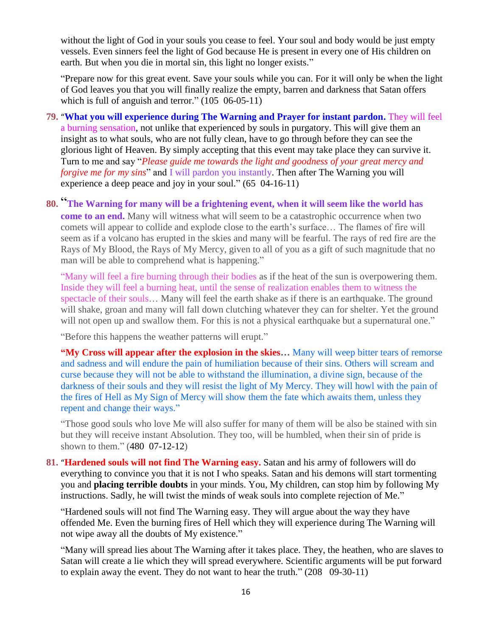without the light of God in your souls you cease to feel. Your soul and body would be just empty vessels. Even sinners feel the light of God because He is present in every one of His children on earth. But when you die in mortal sin, this light no longer exists."

"Prepare now for this great event. Save your souls while you can. For it will only be when the light of God leaves you that you will finally realize the empty, barren and darkness that Satan offers which is full of anguish and terror." (105 06-05-11)

- **79.** "**[What you will experience during The Warning and Prayer for instant pardon.](http://www.thewarningsecondcoming.com/what-you-will-experience-during-the-warning-and-prayer-for-instant-pardon/)** They will feel a burning sensation, not unlike that experienced by souls in purgatory. This will give them an insight as to what souls, who are not fully clean, have to go through before they can see the glorious light of Heaven. By simply accepting that this event may take place they can survive it. Turn to me and say "*Please guide me towards the light and goodness of your great mercy and forgive me for my sins*" and I will pardon you instantly. Then after The Warning you will experience a deep peace and joy in your soul." (65 04-16-11)
- **80.** "**[The Warning for many will be a frightening event, when it will seem like the world has](http://www.thewarningsecondcoming.com/the-warning-for-many-will-be-a-frightening-event-when-it-will-seem-like-the-world-has-come-to-an-end/)  [come to an end.](http://www.thewarningsecondcoming.com/the-warning-for-many-will-be-a-frightening-event-when-it-will-seem-like-the-world-has-come-to-an-end/)** Many will witness what will seem to be a catastrophic occurrence when two comets will appear to collide and explode close to the earth's surface… The flames of fire will seem as if a volcano has erupted in the skies and many will be fearful. The rays of red fire are the Rays of My Blood, the Rays of My Mercy, given to all of you as a gift of such magnitude that no man will be able to comprehend what is happening."

"Many will feel a fire burning through their bodies as if the heat of the sun is overpowering them. Inside they will feel a burning heat, until the sense of realization enables them to witness the spectacle of their souls… Many will feel the earth shake as if there is an earthquake. The ground will shake, groan and many will fall down clutching whatever they can for shelter. Yet the ground will not open up and swallow them. For this is not a physical earthquake but a supernatural one."

"Before this happens the weather patterns will erupt."

**"My Cross will appear after the explosion in the skies…** Many will weep bitter tears of remorse and sadness and will endure the pain of humiliation because of their sins. Others will scream and curse because they will not be able to withstand the illumination, a divine sign, because of the darkness of their souls and they will resist the light of My Mercy. They will howl with the pain of the fires of Hell as My Sign of Mercy will show them the fate which awaits them, unless they repent and change their ways."

"Those good souls who love Me will also suffer for many of them will be also be stained with sin but they will receive instant Absolution. They too, will be humbled, when their sin of pride is shown to them." (480 07-12-12)

**81.** "**[Hardened souls will not find The Warning easy.](http://www.thewarningsecondcoming.com/hardened-souls-will-not-find-the-warning-easy/)** Satan and his army of followers will do everything to convince you that it is not I who speaks. Satan and his demons will start tormenting you and **placing terrible doubts** in your minds. You, My children, can stop him by following My instructions. Sadly, he will twist the minds of weak souls into complete rejection of Me."

"Hardened souls will not find The Warning easy. They will argue about the way they have offended Me. Even the burning fires of Hell which they will experience during The Warning will not wipe away all the doubts of My existence."

"Many will spread lies about The Warning after it takes place. They, the heathen, who are slaves to Satan will create a lie which they will spread everywhere. Scientific arguments will be put forward to explain away the event. They do not want to hear the truth." (208 09-30-11)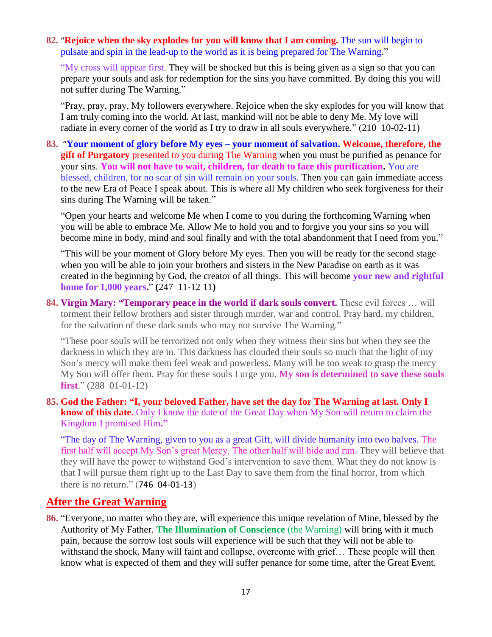#### **82.** "**[Rejoice when the sky explodes for you will know that I am coming.](http://www.thewarningsecondcoming.com/rejoice-when-the-sky-explodes-for-you-will-know-that-i-am-coming/)** The sun will begin to pulsate and spin in the lead-up to the world as it is being prepared for The Warning."

"My cross will appear first. They will be shocked but this is being given as a sign so that you can prepare your souls and ask for redemption for the sins you have committed. By doing this you will not suffer during The Warning."

"Pray, pray, pray, My followers everywhere. Rejoice when the sky explodes for you will know that I am truly coming into the world. At last, mankind will not be able to deny Me. My love will radiate in every corner of the world as I try to draw in all souls everywhere." (210 10-02-11)

**83.** "**[Your moment of glory before My eyes –](http://www.thewarningsecondcoming.com/your-moment-of-glory-before-my-eyes-your-moment-of-salvation/) your moment of salvation. Welcome, therefore, the gift of Purgatory** presented to you during The Warning when you must be purified as penance for your sins. **You will not have to wait, children, for death to face this purification.** You are blessed, children, for no scar of sin will remain on your souls. Then you can gain immediate access to the new Era of Peace I speak about. This is where all My children who seek forgiveness for their sins during The Warning will be taken."

"Open your hearts and welcome Me when I come to you during the forthcoming Warning when you will be able to embrace Me. Allow Me to hold you and to forgive you your sins so you will become mine in body, mind and soul finally and with the total abandonment that I need from you."

"This will be your moment of Glory before My eyes. Then you will be ready for the second stage when you will be able to join your brothers and sisters in the New Paradise on earth as it was created in the beginning by God, the creator of all things. This will become **your new and rightful home for 1,000 years.**" **(**247 11-12 11**)**

**84. Virgin Mary: "Temporary peace in the world if dark souls convert.** These evil forces … will torment their fellow brothers and sister through murder, war and control. Pray hard, my children, for the salvation of these dark souls who may not survive The Warning."

"These poor souls will be terrorized not only when they witness their sins but when they see the darkness in which they are in. This darkness has clouded their souls so much that the light of my Son's mercy will make them feel weak and powerless. Many will be too weak to grasp the mercy My Son will offer them. Pray for these souls I urge you. **My son is determined to save these souls first**." (288 01-01-12)

**85. [God the Father: "I, your beloved Father, have set the day for The Warning at last. Only I](http://www.thewarningsecondcoming.com/god-the-father-i-your-beloved-father-have-set-the-day-for-the-warning-at-last-only-i-know-of-this-date/)  [know of this date.](http://www.thewarningsecondcoming.com/god-the-father-i-your-beloved-father-have-set-the-day-for-the-warning-at-last-only-i-know-of-this-date/)** Only I know the date of the Great Day when My Son will return to claim the Kingdom I promised Him**."**

"The day of The Warning, given to you as a great Gift, will divide humanity into two halves. The first half will accept My Son's great Mercy. The other half will hide and run. They will believe that they will have the power to withstand God's intervention to save them. What they do not know is that I will pursue them right up to the Last Day to save them from the final horror, from which there is no return." (746 04-01-13)

### **After the Great Warning**

**86.** "Everyone, no matter who they are, will experience this unique revelation of Mine, blessed by the Authority of My Father. **The Illumination of Conscience** (the Warning) will bring with it much pain, because the sorrow lost souls will experience will be such that they will not be able to withstand the shock. Many will faint and collapse, overcome with grief… These people will then know what is expected of them and they will suffer penance for some time, after the Great Event.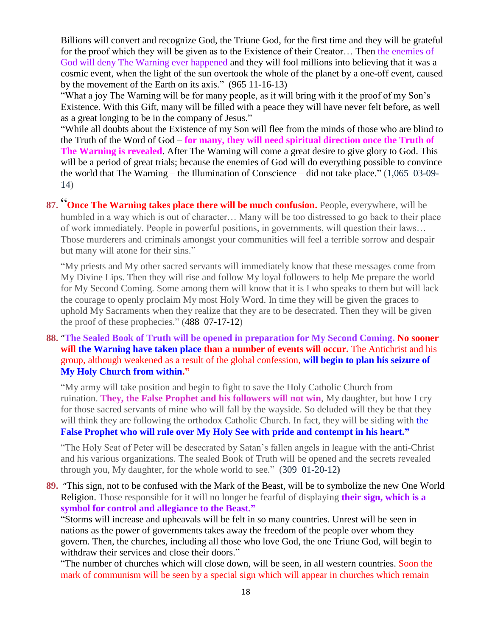Billions will convert and recognize God, the Triune God, for the first time and they will be grateful for the proof which they will be given as to the Existence of their Creator… Then the enemies of God will deny The Warning ever happened and they will fool millions into believing that it was a cosmic event, when the light of the sun overtook the whole of the planet by a one-off event, caused by the movement of the Earth on its axis." (965 11-16-13)

"What a joy The Warning will be for many people, as it will bring with it the proof of my Son's Existence. With this Gift, many will be filled with a peace they will have never felt before, as well as a great longing to be in the company of Jesus."

"While all doubts about the Existence of my Son will flee from the minds of those who are blind to the Truth of the Word of God – **for many, they will need spiritual direction once the Truth of The Warning is revealed**. After The Warning will come a great desire to give glory to God. This will be a period of great trials; because the enemies of God will do everything possible to convince the world that The Warning – the Illumination of Conscience – did not take place." (1,065 03-09- 14)

87. "[Once The Warning takes place there will be much confusion.](http://www.thewarningsecondcoming.com/once-the-warning-takes-place-there-will-be-much-confusion/) People, everywhere, will be humbled in a way which is out of character… Many will be too distressed to go back to their place of work immediately. People in powerful positions, in governments, will question their laws… Those murderers and criminals amongst your communities will feel a terrible sorrow and despair but many will atone for their sins."

"My priests and My other sacred servants will immediately know that these messages come from My Divine Lips. Then they will rise and follow My loyal followers to help Me prepare the world for My Second Coming. Some among them will know that it is I who speaks to them but will lack the courage to openly proclaim My most Holy Word. In time they will be given the graces to uphold My Sacraments when they realize that they are to be desecrated. Then they will be given the proof of these prophecies." (488 07-17-12)

**88.** "**[The Sealed Book of Truth will be opened in preparation for My Second Coming.](http://www.thewarningsecondcoming.com/the-sealed-book-of-truth-will-be-opened-in-preparation-for-my-second-coming/) No sooner will the Warning have taken place than a number of events will occur.** The Antichrist and his group, although weakened as a result of the global confession, **will begin to plan his seizure of My Holy Church from within."**

"My army will take position and begin to fight to save the Holy Catholic Church from ruination. **They, the False Prophet and his followers will not win**, My daughter, but how I cry for those sacred servants of mine who will fall by the wayside. So deluded will they be that they will think they are following the orthodox Catholic Church. In fact, they will be siding with the **False Prophet who will rule over My Holy See with pride and contempt in his heart."**

"The Holy Seat of Peter will be desecrated by Satan's fallen angels in league with the anti-Christ and his various organizations. The sealed Book of Truth will be opened and the secrets revealed through you, My daughter, for the whole world to see." (309 01-20-12**)**

**89.** "[This sign, not to be confused with the Mark of the Beast, will be to symbolize the new One World](http://www.thewarningsecondcoming.com/this-sign-not-to-be-confused-with-the-mark-of-the-beast-will-be-to-symbolise-the-new-one-world-religion/)  [Religion.](http://www.thewarningsecondcoming.com/this-sign-not-to-be-confused-with-the-mark-of-the-beast-will-be-to-symbolise-the-new-one-world-religion/) Those responsible for it will no longer be fearful of displaying **their sign, which is a symbol for control and allegiance to the Beast."**

"Storms will increase and upheavals will be felt in so many countries. Unrest will be seen in nations as the power of governments takes away the freedom of the people over whom they govern. Then, the churches, including all those who love God, the one Triune God, will begin to withdraw their services and close their doors."

"The number of churches which will close down, will be seen, in all western countries. Soon the mark of communism will be seen by a special sign which will appear in churches which remain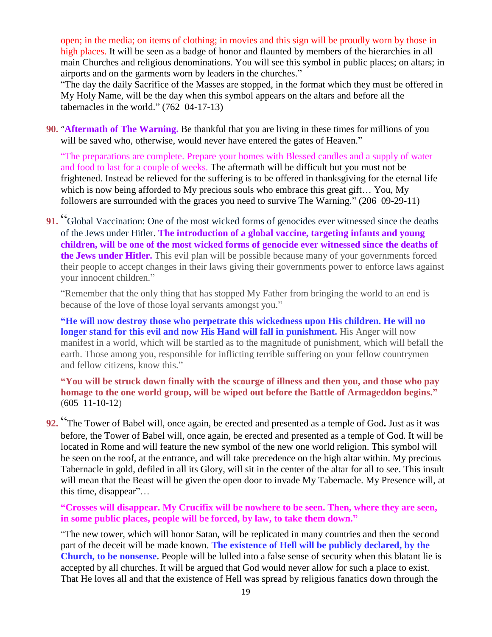open; in the media; on items of clothing; in movies and this sign will be proudly worn by those in high places. It will be seen as a badge of honor and flaunted by members of the hierarchies in all main Churches and religious denominations. You will see this symbol in public places; on altars; in airports and on the garments worn by leaders in the churches."

"The day the daily Sacrifice of the Masses are stopped, in the format which they must be offered in My Holy Name, will be the day when this symbol appears on the altars and before all the tabernacles in the world." (762 04-17-13)

**90.** "**[Aftermath of The Warning.](http://www.thewarningsecondcoming.com/aftermath-of-the-warning/)** Be thankful that you are living in these times for millions of you will be saved who, otherwise, would never have entered the gates of Heaven."

"The preparations are complete. Prepare your homes with Blessed candles and a supply of water and food to last for a couple of weeks. The aftermath will be difficult but you must not be frightened. Instead be relieved for the suffering is to be offered in thanksgiving for the eternal life which is now being afforded to My precious souls who embrace this great gift... You, My followers are surrounded with the graces you need to survive The Warning." (206 09-29-11)

**91.** "Global Vaccination: One of the most wicked forms of genocides ever witnessed since the deaths [of the Jews under Hitler.](http://www.thewarningsecondcoming.com/global-vaccination-one-of-the-most-wicked-forms-of-genocides-ever-witnessed-since-the-deaths-of-the-jews-under-hitler/) **The introduction of a global vaccine, targeting infants and young children, will be one of the most wicked forms of genocide ever witnessed since the deaths of the Jews under Hitler.** This evil plan will be possible because many of your governments forced their people to accept changes in their laws giving their governments power to enforce laws against your innocent children."

"Remember that the only thing that has stopped My Father from bringing the world to an end is because of the love of those loyal servants amongst you."

**"He will now destroy those who perpetrate this wickedness upon His children. He will no longer stand for this evil and now His Hand will fall in punishment.** His Anger will now manifest in a world, which will be startled as to the magnitude of punishment, which will befall the earth. Those among you, responsible for inflicting terrible suffering on your fellow countrymen and fellow citizens, know this."

**"You will be struck down finally with the scourge of illness and then you, and those who pay homage to the one world group, will be wiped out before the Battle of Armageddon begins."** (605 11-10-12)

**92.** "[The Tower of Babel will, once again, be erected and presented as a temple of God](http://www.thewarningsecondcoming.com/the-tower-of-babel-will-once-again-be-erected-and-presented-as-a-temple-of-god/)**.** Just as it was before, the Tower of Babel will, once again, be erected and presented as a temple of God. It will be located in Rome and will feature the new symbol of the new one world religion. This symbol will be seen on the roof, at the entrance, and will take precedence on the high altar within. My precious Tabernacle in gold, defiled in all its Glory, will sit in the center of the altar for all to see. This insult will mean that the Beast will be given the open door to invade My Tabernacle. My Presence will, at this time, disappear"…

**"Crosses will disappear. My Crucifix will be nowhere to be seen. Then, where they are seen, in some public places, people will be forced, by law, to take them down."**

"The new tower, which will honor Satan, will be replicated in many countries and then the second part of the deceit will be made known. **The existence of Hell will be publicly declared, by the Church, to be nonsense.** People will be lulled into a false sense of security when this blatant lie is accepted by all churches. It will be argued that God would never allow for such a place to exist. That He loves all and that the existence of Hell was spread by religious fanatics down through the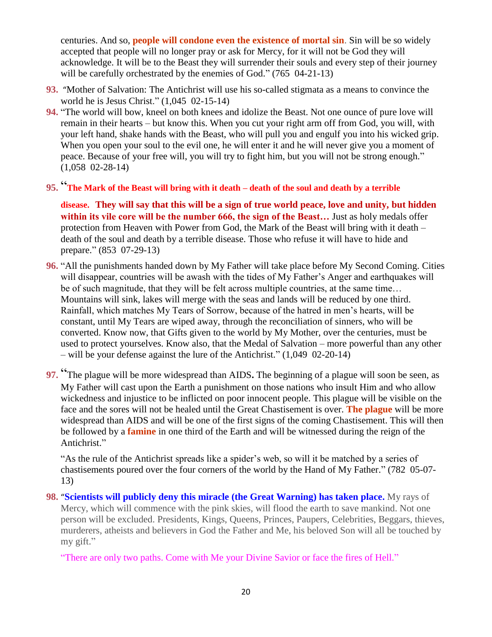centuries. And so, **people will condone even the existence of mortal sin**. Sin will be so widely accepted that people will no longer pray or ask for Mercy, for it will not be God they will acknowledge. It will be to the Beast they will surrender their souls and every step of their journey will be carefully orchestrated by the enemies of God." (765 04-21-13)

- **93.** "[Mother of Salvation: The Antichrist will use his so-called stigmata as a means to convince the](http://www.thewarningsecondcoming.com/mother-of-salvation-the-antichrist-will-use-his-so-called-stigmata-as-a-means-to-convince-the-world-he-is-jesus-christ/)  [world he is Jesus Christ.](http://www.thewarningsecondcoming.com/mother-of-salvation-the-antichrist-will-use-his-so-called-stigmata-as-a-means-to-convince-the-world-he-is-jesus-christ/)" (1,045 02-15-14)
- **94.** "The world will bow, kneel on both knees and idolize the Beast. Not one ounce of pure love will remain in their hearts – but know this. When you cut your right arm off from God, you will, with your left hand, shake hands with the Beast, who will pull you and engulf you into his wicked grip. When you open your soul to the evil one, he will enter it and he will never give you a moment of peace. Because of your free will, you will try to fight him, but you will not be strong enough." (1,058 02-28-14)
- **95.** " **[The Mark of the Beast will bring with it death –](http://www.thewarningsecondcoming.com/the-mark-of-the-beast-will-bring-with-it-death-death-of-the-soul-and-death-by-a-terrible-disease/) death of the soul and death by a terrible**

**[disease.](http://www.thewarningsecondcoming.com/the-mark-of-the-beast-will-bring-with-it-death-death-of-the-soul-and-death-by-a-terrible-disease/) They will say that this will be a sign of true world peace, love and unity, but hidden within its vile core will be the number 666, the sign of the Beast…** Just as holy medals offer protection from Heaven with Power from God, the Mark of the Beast will bring with it death – death of the soul and death by a terrible disease. Those who refuse it will have to hide and prepare." (853 07-29-13)

- **96.** "All the punishments handed down by My Father will take place before My Second Coming. Cities will disappear, countries will be awash with the tides of My Father's Anger and earthquakes will be of such magnitude, that they will be felt across multiple countries, at the same time… Mountains will sink, lakes will merge with the seas and lands will be reduced by one third. Rainfall, which matches My Tears of Sorrow, because of the hatred in men's hearts, will be constant, until My Tears are wiped away, through the reconciliation of sinners, who will be converted. Know now, that Gifts given to the world by My Mother, over the centuries, must be used to protect yourselves. Know also, that the Medal of Salvation – more powerful than any other – will be your defense against the lure of the Antichrist." (1,049 02-20-14)
- **97.** "[The plague will be more widespread than AIDS](http://www.thewarningsecondcoming.com/the-plague-will-be-more-widespread-than-aids/)**.** The beginning of a plague will soon be seen, as My Father will cast upon the Earth a punishment on those nations who insult Him and who allow wickedness and injustice to be inflicted on poor innocent people. This plague will be visible on the face and the sores will not be healed until the Great Chastisement is over. **The plague** will be more widespread than AIDS and will be one of the first signs of the coming Chastisement. This will then be followed by a **famine** in one third of the Earth and will be witnessed during the reign of the Antichrist."

"As the rule of the Antichrist spreads like a spider's web, so will it be matched by a series of chastisements poured over the four corners of the world by the Hand of My Father." (782 05-07- 13)

**98.** "**[Scientists will publicly deny this miracle \(the Great Warning\) has taken place.](http://www.thewarningsecondcoming.com/scientists-will-publicly-deny-this-miracle-has-taken-place/)** My rays of Mercy, which will commence with the pink skies, will flood the earth to save mankind. Not one person will be excluded. Presidents, Kings, Queens, Princes, Paupers, Celebrities, Beggars, thieves, murderers, atheists and believers in God the Father and Me, his beloved Son will all be touched by my gift."

"There are only two paths. Come with Me your Divine Savior or face the fires of Hell."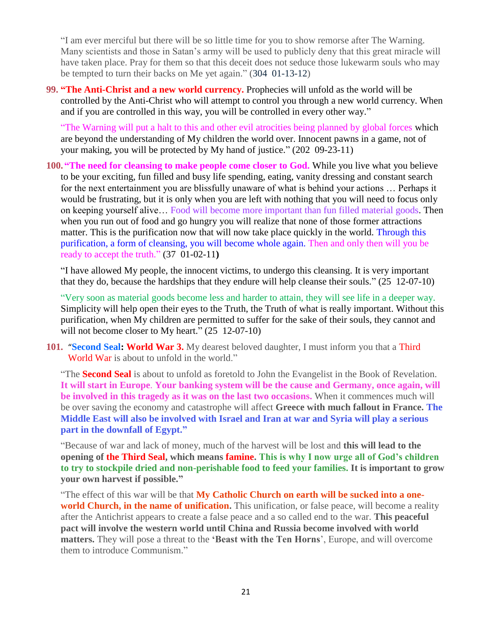"I am ever merciful but there will be so little time for you to show remorse after The Warning. Many scientists and those in Satan's army will be used to publicly deny that this great miracle will have taken place. Pray for them so that this deceit does not seduce those lukewarm souls who may be tempted to turn their backs on Me yet again." (304 01-13-12)

**99. "The Anti-Christ and a new world currency.** Prophecies will unfold as the world will be controlled by the Anti-Christ who will attempt to control you through a new world currency. When and if you are controlled in this way, you will be controlled in every other way."

"The Warning will put a halt to this and other evil atrocities being planned by global forces which are beyond the understanding of My children the world over. Innocent pawns in a game, not of your making, you will be protected by My hand of justice." (202 09-23-11)

**100. "The need for cleansing to make people come closer to God.** While you live what you believe to be your exciting, fun filled and busy life spending, eating, vanity dressing and constant search for the next entertainment you are blissfully unaware of what is behind your actions … Perhaps it would be frustrating, but it is only when you are left with nothing that you will need to focus only on keeping yourself alive… Food will become more important than fun filled material goods. Then when you run out of food and go hungry you will realize that none of those former attractions matter. This is the purification now that will now take place quickly in the world. Through this purification, a form of cleansing, you will become whole again. Then and only then will you be ready to accept the truth." (37 01-02-11**)**

"I have allowed My people, the innocent victims, to undergo this cleansing. It is very important that they do, because the hardships that they endure will help cleanse their souls." (25 12-07-10)

"Very soon as material goods become less and harder to attain, they will see life in a deeper way. Simplicity will help open their eyes to the Truth, the Truth of what is really important. Without this purification, when My children are permitted to suffer for the sake of their souls, they cannot and will not become closer to My heart." (25 12-07-10)

**101.** "**[Second Seal: World War 3.](http://www.thewarningsecondcoming.com/second-seal-world-war-3/)** My dearest beloved daughter, I must inform you that a Third World War is about to unfold in the world."

"The **Second Seal** is about to unfold as foretold to John the Evangelist in the Book of Revelation. **It will start in Europe**. **Your banking system will be the cause and Germany, once again, will be involved in this tragedy as it was on the last two occasions.** When it commences much will be over saving the economy and catastrophe will affect **Greece with much fallout in France. The Middle East will also be involved with Israel and Iran at war and Syria will play a serious part in the downfall of Egypt."**

"Because of war and lack of money, much of the harvest will be lost and **this will lead to the opening of the Third Seal, which means famine. This is why I now urge all of God's children to try to stockpile dried and non-perishable food to feed your families. It is important to grow your own harvest if possible."**

"The effect of this war will be that **My Catholic Church on earth will be sucked into a oneworld Church, in the name of unification.** This unification, or false peace, will become a reality after the Antichrist appears to create a false peace and a so called end to the war. **This peaceful pact will involve the western world until China and Russia become involved with world matters.** They will pose a threat to the **'Beast with the Ten Horns**', Europe, and will overcome them to introduce Communism."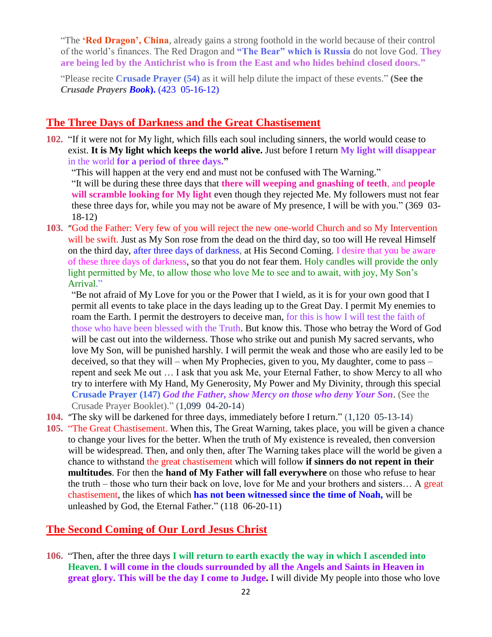"The **'Red Dragon', China**, already gains a strong foothold in the world because of their control of the world's finances. The Red Dragon and **"The Bear" which is Russia** do not love God. **They are being led by the Antichrist who is from the East and who hides behind closed doors."**

"Please recite **Crusade Prayer (54)** as it will help dilute the impact of these events." **(See the**  *Crusade Prayers Book***).** (423 05-16-12)

### **The Three Days of Darkness and the Great Chastisement**

**102.** "If it were not for My light, which fills each soul including sinners, the world would cease to exist. **It is My light which keeps the world alive.** Just before I return **My light will disappear**  in the world **for a period of three days."**

"This will happen at the very end and must not be confused with The Warning."

"It will be during these three days that **there will weeping and gnashing of teeth**, and **people will scramble looking for My light** even though they rejected Me. My followers must not fear these three days for, while you may not be aware of My presence, I will be with you." (369 03- 18-12)

**103.** "[God the Father: Very few of you will reject the new one-world Church and so My Intervention](http://www.thewarningsecondcoming.com/god-the-father-very-few-of-you-will-reject-the-new-one-world-church-and-so-my-intervention-will-be-swift/)  [will be swift.](http://www.thewarningsecondcoming.com/god-the-father-very-few-of-you-will-reject-the-new-one-world-church-and-so-my-intervention-will-be-swift/) Just as My Son rose from the dead on the third day, so too will He reveal Himself on the third day, after three days of darkness, at His Second Coming. I desire that you be aware of these three days of darkness, so that you do not fear them. Holy candles will provide the only light permitted by Me, to allow those who love Me to see and to await, with joy, My Son's Arrival."

"Be not afraid of My Love for you or the Power that I wield, as it is for your own good that I permit all events to take place in the days leading up to the Great Day. I permit My enemies to roam the Earth. I permit the destroyers to deceive man, for this is how I will test the faith of those who have been blessed with the Truth. But know this. Those who betray the Word of God will be cast out into the wilderness. Those who strike out and punish My sacred servants, who love My Son, will be punished harshly. I will permit the weak and those who are easily led to be deceived, so that they will – when My Prophecies, given to you, My daughter, come to pass – repent and seek Me out … I ask that you ask Me, your Eternal Father, to show Mercy to all who try to interfere with My Hand, My Generosity, My Power and My Divinity, through this special **Crusade Prayer (147)** *God the Father, show Mercy on those who deny Your Son*. (See the Crusade Prayer Booklet)." (1,099 04-20-14)

- **104.** "[The sky will be darkened for three days, immediately before I return.](http://www.thewarningsecondcoming.com/the-sky-will-be-darkened-for-three-days-immediately-before-i-return/)" (1,120 05-13-14)
- **105.** "The Great Chastisement. When this, The Great Warning, takes place, you will be given a chance to change your lives for the better. When the truth of My existence is revealed, then conversion will be widespread. Then, and only then, after The Warning takes place will the world be given a chance to withstand the great chastisement which will follow **if sinners do not repent in their multitudes**. For then the **hand of My Father will fall everywhere** on those who refuse to hear the truth – those who turn their back on love, love for Me and your brothers and sisters… A great chastisement, the likes of which **has not been witnessed since the time of Noah,** will be unleashed by God, the Eternal Father." (118 06-20-11)

### **The Second Coming of Our Lord Jesus Christ**

**106.** "Then, after the three days **I will return to earth exactly the way in which I ascended into Heaven**. **I will come in the clouds surrounded by all the Angels and Saints in Heaven in great glory. This will be the day I come to Judge.** I will divide My people into those who love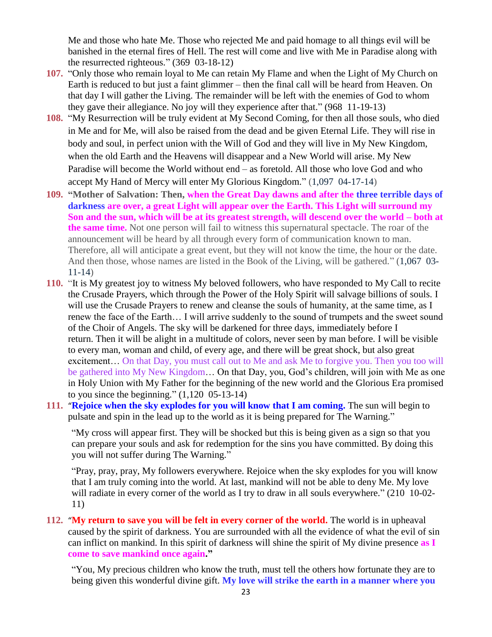Me and those who hate Me. Those who rejected Me and paid homage to all things evil will be banished in the eternal fires of Hell. The rest will come and live with Me in Paradise along with the resurrected righteous." (369 03-18-12)

- **107.** "Only those who remain loyal to Me can retain My Flame and when the Light of My Church on Earth is reduced to but just a faint glimmer – then the final call will be heard from Heaven. On that day I will gather the Living. The remainder will be left with the enemies of God to whom they gave their allegiance. No joy will they experience after that." (968 11-19-13)
- **108.** "My Resurrection will be truly evident at My Second Coming, for then all those souls, who died in Me and for Me, will also be raised from the dead and be given Eternal Life. They will rise in body and soul, in perfect union with the Will of God and they will live in My New Kingdom, when the old Earth and the Heavens will disappear and a New World will arise. My New Paradise will become the World without end – as foretold. All those who love God and who accept My Hand of Mercy will enter My Glorious Kingdom." (1,097 04-17-14)
- **109. "Mother of Salvation: Then, when the Great Day dawns and after the three terrible days of darkness are over, a great Light will appear over the Earth. This Light will surround my Son and the sun, which will be at its greatest strength, will descend over the world – both at the same time.** Not one person will fail to witness this supernatural spectacle. The roar of the announcement will be heard by all through every form of communication known to man. Therefore, all will anticipate a great event, but they will not know the time, the hour or the date. And then those, whose names are listed in the Book of the Living, will be gathered." (1,067 03- 11-14)
- **110.** "It is My greatest joy to witness My beloved followers, who have responded to My Call to recite the Crusade Prayers, which through the Power of the Holy Spirit will salvage billions of souls. I will use the Crusade Prayers to renew and cleanse the souls of humanity, at the same time, as I renew the face of the Earth… I will arrive suddenly to the sound of trumpets and the sweet sound of the Choir of Angels. The sky will be darkened for three days, immediately before I return. Then it will be alight in a multitude of colors, never seen by man before. I will be visible to every man, woman and child, of every age, and there will be great shock, but also great excitement… On that Day, you must call out to Me and ask Me to forgive you. Then you too will be gathered into My New Kingdom… On that Day, you, God's children, will join with Me as one in Holy Union with My Father for the beginning of the new world and the Glorious Era promised to you since the beginning."  $(1,120 \t 05-13-14)$
- **111.** "**[Rejoice when the sky explodes for you will know that I am coming.](http://www.thewarningsecondcoming.com/rejoice-when-the-sky-explodes-for-you-will-know-that-i-am-coming/)** The sun will begin to pulsate and spin in the lead up to the world as it is being prepared for The Warning."

"My cross will appear first. They will be shocked but this is being given as a sign so that you can prepare your souls and ask for redemption for the sins you have committed. By doing this you will not suffer during The Warning."

"Pray, pray, pray, My followers everywhere. Rejoice when the sky explodes for you will know that I am truly coming into the world. At last, mankind will not be able to deny Me. My love will radiate in every corner of the world as I try to draw in all souls everywhere." (210 10-02-11)

**112.** "**[My return to save you will be felt in every corner of the world.](http://www.thewarningsecondcoming.com/my-return-to-save-you-will-be-felt-in-every-corner-of-the-world/)** The world is in upheaval caused by the spirit of darkness. You are surrounded with all the evidence of what the evil of sin can inflict on mankind. In this spirit of darkness will shine the spirit of My divine presence **as I come to save mankind once again."**

"You, My precious children who know the truth, must tell the others how fortunate they are to being given this wonderful divine gift. **My love will strike the earth in a manner where you**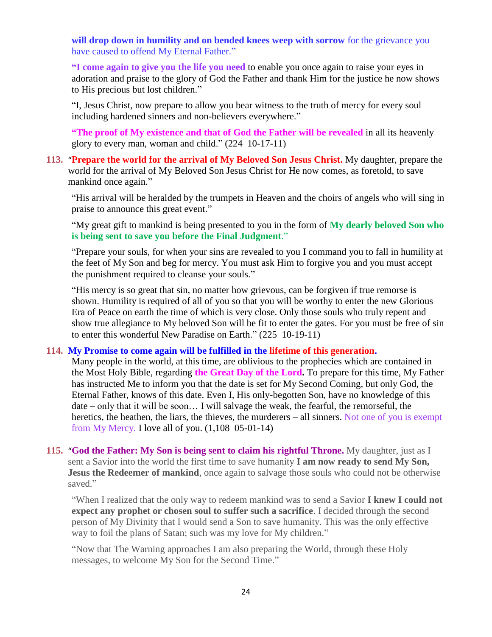**will drop down in humility and on bended knees weep with sorrow** for the grievance you have caused to offend My Eternal Father."

**"I come again to give you the life you need** to enable you once again to raise your eyes in adoration and praise to the glory of God the Father and thank Him for the justice he now shows to His precious but lost children."

"I, Jesus Christ, now prepare to allow you bear witness to the truth of mercy for every soul including hardened sinners and non-believers everywhere."

**"The proof of My existence and that of God the Father will be revealed** in all its heavenly glory to every man, woman and child." (224 10-17-11)

**113.** "**[Prepare the world for the arrival of My Beloved Son Jesus Christ.](http://www.thewarningsecondcoming.com/god-the-father-prepare-the-world-for-the-arrival-of-my-beloved-son-jesus-christ/)** My daughter, prepare the world for the arrival of My Beloved Son Jesus Christ for He now comes, as foretold, to save mankind once again."

"His arrival will be heralded by the trumpets in Heaven and the choirs of angels who will sing in praise to announce this great event."

"My great gift to mankind is being presented to you in the form of **My dearly beloved Son who is being sent to save you before the Final Judgment**."

"Prepare your souls, for when your sins are revealed to you I command you to fall in humility at the feet of My Son and beg for mercy. You must ask Him to forgive you and you must accept the punishment required to cleanse your souls."

"His mercy is so great that sin, no matter how grievous, can be forgiven if true remorse is shown. Humility is required of all of you so that you will be worthy to enter the new Glorious Era of Peace on earth the time of which is very close. Only those souls who truly repent and show true allegiance to My beloved Son will be fit to enter the gates. For you must be free of sin to enter this wonderful New Paradise on Earth." (225 10-19-11)

#### **114. [My Promise to come again will be fulfilled in the lifetime of this generation.](http://www.thewarningsecondcoming.com/you-are-about-to-witness-the-greatest-deceit-ever-inflicted-upon-the-world-by-satan/)**

Many people in the world, at this time, are oblivious to the prophecies which are contained in the Most Holy Bible, regarding **the Great Day of the Lord.** To prepare for this time, My Father has instructed Me to inform you that the date is set for My Second Coming, but only God, the Eternal Father, knows of this date. Even I, His only-begotten Son, have no knowledge of this date – only that it will be soon… I will salvage the weak, the fearful, the remorseful, the heretics, the heathen, the liars, the thieves, the murderers – all sinners. Not one of you is exempt from My Mercy. I love all of you. (1,108 05-01-14)

**115.** "**[God the Father: My Son is being sent to claim his rightful Throne.](http://www.thewarningsecondcoming.com/god-the-father-my-son-is-being-sent-to-claim-his-rightful-throne-2/)** My daughter, just as I sent a Savior into the world the first time to save humanity **I am now ready to send My Son, Jesus the Redeemer of mankind**, once again to salvage those souls who could not be otherwise saved."

"When I realized that the only way to redeem mankind was to send a Savior **I knew I could not expect any prophet or chosen soul to suffer such a sacrifice**. I decided through the second person of My Divinity that I would send a Son to save humanity. This was the only effective way to foil the plans of Satan; such was my love for My children."

"Now that The Warning approaches I am also preparing the World, through these Holy messages, to welcome My Son for the Second Time."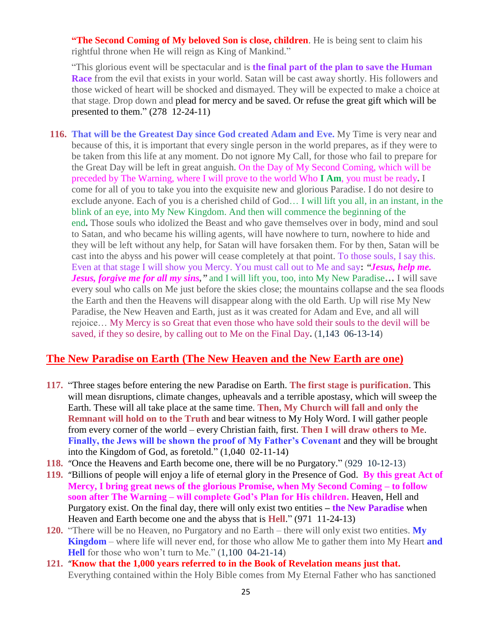**"The Second Coming of My beloved Son is close, children**. He is being sent to claim his rightful throne when He will reign as King of Mankind."

"This glorious event will be spectacular and is **the final part of the plan to save the Human Race** from the evil that exists in your world. Satan will be cast away shortly. His followers and those wicked of heart will be shocked and dismayed. They will be expected to make a choice at that stage. Drop down and plead for mercy and be saved. Or refuse the great gift which will be presented to them." (278 12-24-11)

**116. [That will be the Greatest Day since God created Adam and Eve.](http://www.thewarningsecondcoming.com/that-will-be-the-greatest-day-since-god-created-adam-and-eve/)** My Time is very near and because of this, it is important that every single person in the world prepares, as if they were to be taken from this life at any moment. Do not ignore My Call, for those who fail to prepare for the Great Day will be left in great anguish. On the Day of My Second Coming, which will be preceded by The Warning, where I will prove to the world Who **I Am**, you must be ready**.** I come for all of you to take you into the exquisite new and glorious Paradise. I do not desire to exclude anyone. Each of you is a cherished child of God… I will lift you all, in an instant, in the blink of an eye, into My New Kingdom. And then will commence the beginning of the end**.** Those souls who idolized the Beast and who gave themselves over in body, mind and soul to Satan, and who became his willing agents, will have nowhere to turn, nowhere to hide and they will be left without any help, for Satan will have forsaken them. For by then, Satan will be cast into the abyss and his power will cease completely at that point. To those souls, I say this. Even at that stage I will show you Mercy. You must call out to Me and say**:** *"Jesus, help me. Jesus, forgive me for all my sins,"* and I will lift you, too, into My New Paradise**…** I will save every soul who calls on Me just before the skies close; the mountains collapse and the sea floods the Earth and then the Heavens will disappear along with the old Earth. Up will rise My New Paradise, the New Heaven and Earth, just as it was created for Adam and Eve, and all will rejoice… My Mercy is so Great that even those who have sold their souls to the devil will be saved, if they so desire, by calling out to Me on the Final Day**.** (1,143 06-13-14)

### **The New Paradise on Earth (The New Heaven and the New Earth are one)**

- **117.** "Three stages before entering the new Paradise on Earth. **The first stage is purification**. This will mean disruptions, climate changes, upheavals and a terrible apostasy, which will sweep the Earth. These will all take place at the same time. **Then, My Church will fall and only the Remnant will hold on to the Truth** and bear witness to My Holy Word. I will gather people from every corner of the world – every Christian faith, first. **Then I will draw others to Me**. **Finally, the Jews will be shown the proof of My Father's Covenant** and they will be brought into the Kingdom of God, as foretold." (1,040 02-11-14)
- **118.** "[Once the Heavens and Earth become one, there will be no Purgatory.](http://www.thewarningsecondcoming.com/once-the-heavens-and-earth-become-one-there-will-be-no-purgatory/)" (929 10-12-13)
- **119.** "[Billions of people will enjoy a life of eternal glory in the Presence of God.](http://www.thewarningsecondcoming.com/billions-of-people-will-enjoy-a-life-of-eternal-glory-in-the-presence-of-god/) **By this great Act of Mercy, I bring great news of the glorious Promise, when My Second Coming – to follow soon after The Warning – will complete God's Plan for His children.** Heaven, Hell and Purgatory exist. On the final day, there will only exist two entities **– the New Paradise** when Heaven and Earth become one and the abyss that is **Hell**." (971 11-24-13)
- **120.** "There will be no Heaven, no Purgatory and no Earth there will only exist two entities. **My Kingdom** – where life will never end, for those who allow Me to gather them into My Heart **and Hell** for those who won't turn to Me." (1,100 04-21-14)
- **121.** "**[Know that the 1,000 years referred to in the Book of Revelation means just that.](http://www.thewarningsecondcoming.com/know-that-the-1000-years-referred-to-in-the-book-of-revelation-means-just-that/)**  Everything contained within the Holy Bible comes from My Eternal Father who has sanctioned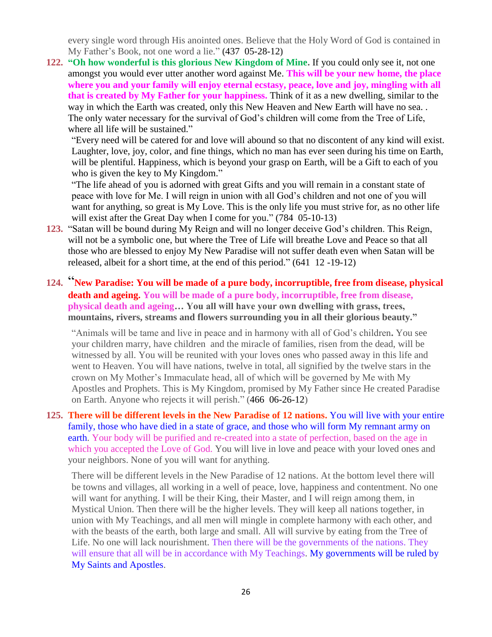every single word through His anointed ones. Believe that the Holy Word of God is contained in My Father's Book, not one word a lie." **(**437 05-28-12**)**

**122. "Oh how wonderful is this glorious New Kingdom of Mine.** If you could only see it, not one amongst you would ever utter another word against Me. **This will be your new home, the place where you and your family will enjoy eternal ecstasy, peace, love and joy, mingling with all that is created by My Father for your happiness.** Think of it as a new dwelling, similar to the way in which the Earth was created, only this New Heaven and New Earth will have no sea. . The only water necessary for the survival of God's children will come from the Tree of Life, where all life will be sustained."

"Every need will be catered for and love will abound so that no discontent of any kind will exist. Laughter, love, joy, color, and fine things, which no man has ever seen during his time on Earth, will be plentiful. Happiness, which is beyond your grasp on Earth, will be a Gift to each of you who is given the key to My Kingdom."

"The life ahead of you is adorned with great Gifts and you will remain in a constant state of peace with love for Me. I will reign in union with all God's children and not one of you will want for anything, so great is My Love. This is the only life you must strive for, as no other life will exist after the Great Day when I come for you." (784 05-10-13)

**123.** "Satan will be bound during My Reign and will no longer deceive God's children. This Reign, will not be a symbolic one, but where the Tree of Life will breathe Love and Peace so that all those who are blessed to enjoy My New Paradise will not suffer death even when Satan will be released, albeit for a short time, at the end of this period." (641 12 -19-12)

### **124.** "**[New Paradise: You will be made of a pure body, incorruptible, free from disease, physical](http://www.thewarningsecondcoming.com/new-paradise-you-will-be-made-of-a-pure-body-incorruptible-free-from-disease-physical-death-and-ageing/)  [death and ageing.](http://www.thewarningsecondcoming.com/new-paradise-you-will-be-made-of-a-pure-body-incorruptible-free-from-disease-physical-death-and-ageing/) You will be made of a pure body, incorruptible, free from disease, physical death and ageing… You all will have your own dwelling with grass, trees, mountains, rivers, streams and flowers surrounding you in all their glorious beauty."**

"Animals will be tame and live in peace and in harmony with all of God's children**.** You see your children marry, have children and the miracle of families, risen from the dead, will be witnessed by all. You will be reunited with your loves ones who passed away in this life and went to Heaven. You will have nations, twelve in total, all signified by the twelve stars in the crown on My Mother's Immaculate head, all of which will be governed by Me with My Apostles and Prophets. This is My Kingdom, promised by My Father since He created Paradise on Earth. Anyone who rejects it will perish." (466 06-26-12)

#### **125. [There will be different levels in the New Paradise of 12 nations.](http://www.thewarningsecondcoming.com/there-will-be-different-levels-in-the-new-paradise-of-12-nations/)** You will live with your entire family, those who have died in a state of grace, and those who will form My remnant army on earth. Your body will be purified and re-created into a state of perfection, based on the age in which you accepted the Love of God. You will live in love and peace with your loved ones and your neighbors. None of you will want for anything.

There will be different levels in the New Paradise of 12 nations. At the bottom level there will be towns and villages, all working in a well of peace, love, happiness and contentment. No one will want for anything. I will be their King, their Master, and I will reign among them, in Mystical Union. Then there will be the higher levels. They will keep all nations together, in union with My Teachings, and all men will mingle in complete harmony with each other, and with the beasts of the earth, both large and small. All will survive by eating from the Tree of Life. No one will lack nourishment. Then there will be the governments of the nations. They will ensure that all will be in accordance with My Teachings. My governments will be ruled by My Saints and Apostles.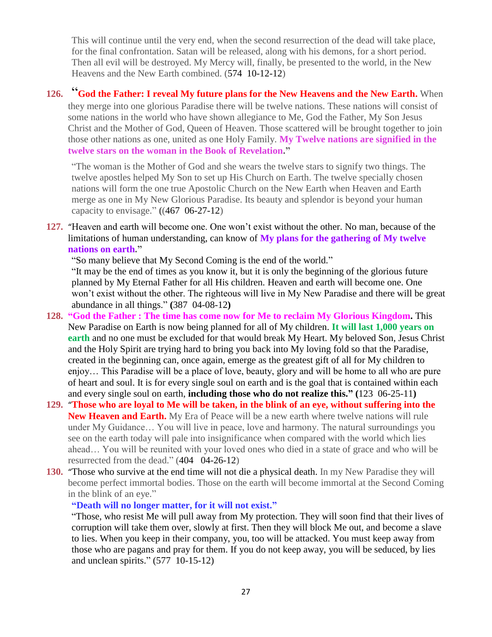This will continue until the very end, when the second resurrection of the dead will take place, for the final confrontation. Satan will be released, along with his demons, for a short period. Then all evil will be destroyed. My Mercy will, finally, be presented to the world, in the New Heavens and the New Earth combined. (574 10-12-12)

### **126.** "**[God the Father: I reveal My future plans for the New Heavens and the New Earth.](http://www.thewarningsecondcoming.com/god-the-father-i-reveal-my-future-plans-for-the-new-heavens-and-the-new-earth/)** When they merge into one glorious Paradise there will be twelve nations. These nations will consist of some nations in the world who have shown allegiance to Me, God the Father, My Son Jesus Christ and the Mother of God, Queen of Heaven. Those scattered will be brought together to join those other nations as one, united as one Holy Family. **My Twelve nations are signified in the twelve stars on the woman in the Book of Revelation."**

"The woman is the Mother of God and she wears the twelve stars to signify two things. The twelve apostles helped My Son to set up His Church on Earth. The twelve specially chosen nations will form the one true Apostolic Church on the New Earth when Heaven and Earth merge as one in My New Glorious Paradise. Its beauty and splendor is beyond your human capacity to envisage." **(**(467 06-27-12)

**127.** "[Heaven and earth will become one. One won't exist without the other.](http://www.thewarningsecondcoming.com/heaven-and-earth-will-become-one-one-wont-exist-without-the-other/) No man, because of the limitations of human understanding, can know of **My plans for the gathering of My twelve nations on earth."**

"So many believe that My Second Coming is the end of the world."

"It may be the end of times as you know it, but it is only the beginning of the glorious future planned by My Eternal Father for all His children. Heaven and earth will become one. One won't exist without the other. The righteous will live in My New Paradise and there will be great abundance in all things." **(**387 04-08-12**)**

- **128. "God the Father : The time has come now for Me to reclaim My Glorious Kingdom.** This New Paradise on Earth is now being planned for all of My children. **It will last 1,000 years on earth** and no one must be excluded for that would break My Heart. My beloved Son, Jesus Christ and the Holy Spirit are trying hard to bring you back into My loving fold so that the Paradise, created in the beginning can, once again, emerge as the greatest gift of all for My children to enjoy… This Paradise will be a place of love, beauty, glory and will be home to all who are pure of heart and soul. It is for every single soul on earth and is the goal that is contained within each and every single soul on earth, **including those who do not realize this." (**123 06-25-11**)**
- **129.** "**[Those who are loyal to Me will be taken, in the blink of an eye, without suffering into the](http://www.thewarningsecondcoming.com/those-who-are-loyal-to-me-will-be-taken-in-the-blink-of-an-eye-without-suffering-into-the-new-heaven-and-earth/)  [New Heaven and Earth.](http://www.thewarningsecondcoming.com/those-who-are-loyal-to-me-will-be-taken-in-the-blink-of-an-eye-without-suffering-into-the-new-heaven-and-earth/)** My Era of Peace will be a new earth where twelve nations will rule under My Guidance… You will live in peace, love and harmony. The natural surroundings you see on the earth today will pale into insignificance when compared with the world which lies ahead… You will be reunited with your loved ones who died in a state of grace and who will be resurrected from the dead." (404 04-26-12)
- **130.** "[Those who survive at the end time will not die a physical death.](http://www.thewarningsecondcoming.com/those-who-survive-at-the-end-time-will-not-die-a-physical-death/) In my New Paradise they will become perfect immortal bodies. Those on the earth will become immortal at the Second Coming in the blink of an eye."

#### **"Death will no longer matter, for it will not exist."**

"Those, who resist Me will pull away from My protection. They will soon find that their lives of corruption will take them over, slowly at first. Then they will block Me out, and become a slave to lies. When you keep in their company, you, too will be attacked. You must keep away from those who are pagans and pray for them. If you do not keep away, you will be seduced, by lies and unclean spirits." (577 10-15-12)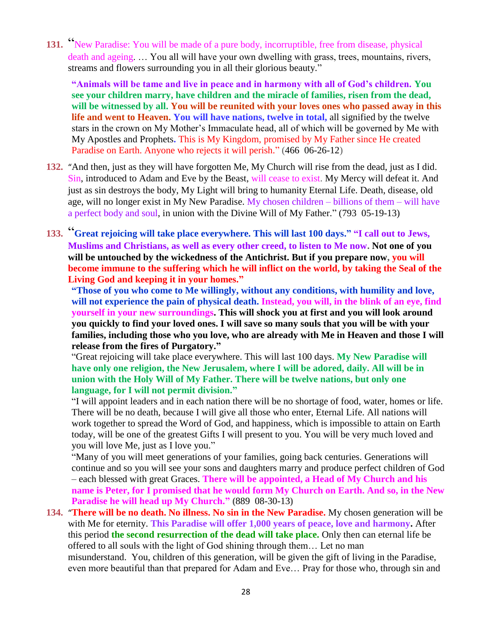**131.** "[New Paradise: You will be made of a pure body, incorruptible, free from](http://www.thewarningsecondcoming.com/new-paradise-you-will-be-made-of-a-pure-body-incorruptible-free-from-disease-physical-death-and-ageing/) disease, physical [death and ageing.](http://www.thewarningsecondcoming.com/new-paradise-you-will-be-made-of-a-pure-body-incorruptible-free-from-disease-physical-death-and-ageing/) … You all will have your own dwelling with grass, trees, mountains, rivers, streams and flowers surrounding you in all their glorious beauty."

**"Animals will be tame and live in peace and in harmony with all of God's children. You see your children marry, have children and the miracle of families, risen from the dead, will be witnessed by all. You will be reunited with your loves ones who passed away in this life and went to Heaven. You will have nations, twelve in total,** all signified by the twelve stars in the crown on My Mother's Immaculate head, all of which will be governed by Me with My Apostles and Prophets**.** This is My Kingdom, promised by My Father since He created Paradise on Earth. Anyone who rejects it will perish." (466 06-26-12)

- **132.** "[And then, just as they will have forgotten Me, My Church will rise from the dead, just as I did.](http://www.thewarningsecondcoming.com/and-then-just-as-they-will-have-forgotten-me-my-church-will-rise-from-the-dead-just-as-i-did/) Sin, introduced to Adam and Eve by the Beast, will cease to exist. My Mercy will defeat it. And just as sin destroys the body, My Light will bring to humanity Eternal Life. Death, disease, old age, will no longer exist in My New Paradise. My chosen children – billions of them – will have a perfect body and soul, in union with the Divine Will of My Father." (793 05-19-13)
- **133.** "**[Great rejoicing will take place everywhere. This will last 100 days.](http://www.thewarningsecondcoming.com/great-rejoicing-will-take-place-everywhere-this-will-last-100-days-2/)" "I call out to Jews, Muslims and Christians, as well as every other creed, to listen to Me now. Not one of you will be untouched by the wickedness of the Antichrist. But if you prepare now, you will become immune to the suffering which he will inflict on the world, by taking the Seal of the Living God and keeping it in your homes."**

**"Those of you who come to Me willingly, without any conditions, with humility and love, will not experience the pain of physical death. Instead, you will, in the blink of an eye, find yourself in your new surroundings. This will shock you at first and you will look around you quickly to find your loved ones. I will save so many souls that you will be with your families, including those who you love, who are already with Me in Heaven and those I will release from the fires of Purgatory."**

"Great rejoicing will take place everywhere. This will last 100 days. **My New Paradise will have only one religion, the New Jerusalem, where I will be adored, daily. All will be in union with the Holy Will of My Father. There will be twelve nations, but only one language, for I will not permit division."**

"I will appoint leaders and in each nation there will be no shortage of food, water, homes or life. There will be no death, because I will give all those who enter, Eternal Life. All nations will work together to spread the Word of God, and happiness, which is impossible to attain on Earth today, will be one of the greatest Gifts I will present to you. You will be very much loved and you will love Me, just as I love you."

"Many of you will meet generations of your families, going back centuries. Generations will continue and so you will see your sons and daughters marry and produce perfect children of God – each blessed with great Graces. **There will be appointed, a Head of My Church and his name is Peter, for I promised that he would form My Church on Earth. And so, in the New Paradise he will head up My Church." (**889 08-30-13**)**

**134.** "**[There will be no death. No illness. No sin in the New Paradise.](http://www.thewarningsecondcoming.com/there-will-be-no-death-no-illness-no-sin-in-the-new-paradise/)** My chosen generation will be with Me for eternity. **This Paradise will offer 1,000 years of peace, love and harmony.** After this period **the second resurrection of the dead will take place.** Only then can eternal life be offered to all souls with the light of God shining through them… Let no man misunderstand. You, children of this generation, will be given the gift of living in the Paradise, even more beautiful than that prepared for Adam and Eve… Pray for those who, through sin and